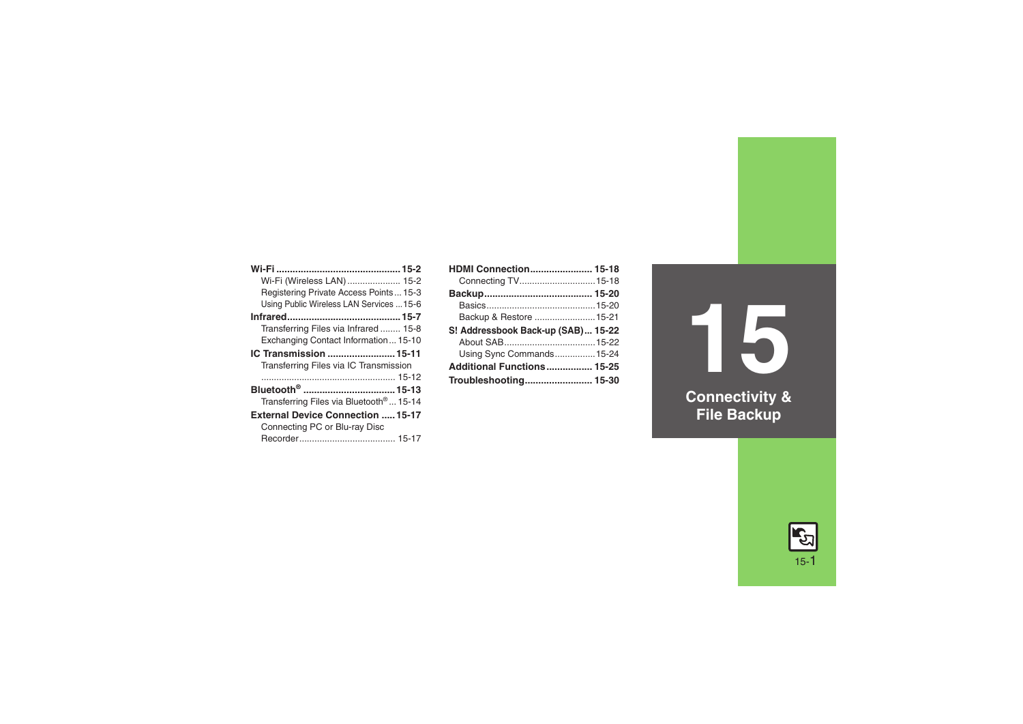| Wi-Fi (Wireless LAN)  15-2                          |
|-----------------------------------------------------|
| Registering Private Access Points 15-3              |
| Using Public Wireless LAN Services  15-6            |
|                                                     |
| Transferring Files via Infrared 15-8                |
| Exchanging Contact Information 15-10                |
| IC Transmission  15-11                              |
| Transferring Files via IC Transmission              |
|                                                     |
| Bluetooth <sup>®</sup> 15-13                        |
| Transferring Files via Bluetooth <sup>®</sup> 15-14 |
| <b>External Device Connection  15-17</b>            |
| Connecting PC or Blu-ray Disc                       |
|                                                     |

| <b>HDMI Connection 15-18</b>       |  |
|------------------------------------|--|
|                                    |  |
|                                    |  |
|                                    |  |
| Backup & Restore  15-21            |  |
|                                    |  |
| S! Addressbook Back-up (SAB) 15-22 |  |
|                                    |  |
| Using Sync Commands 15-24          |  |
| Additional Functions 15-25         |  |

**15 Connectivity & File Backup**

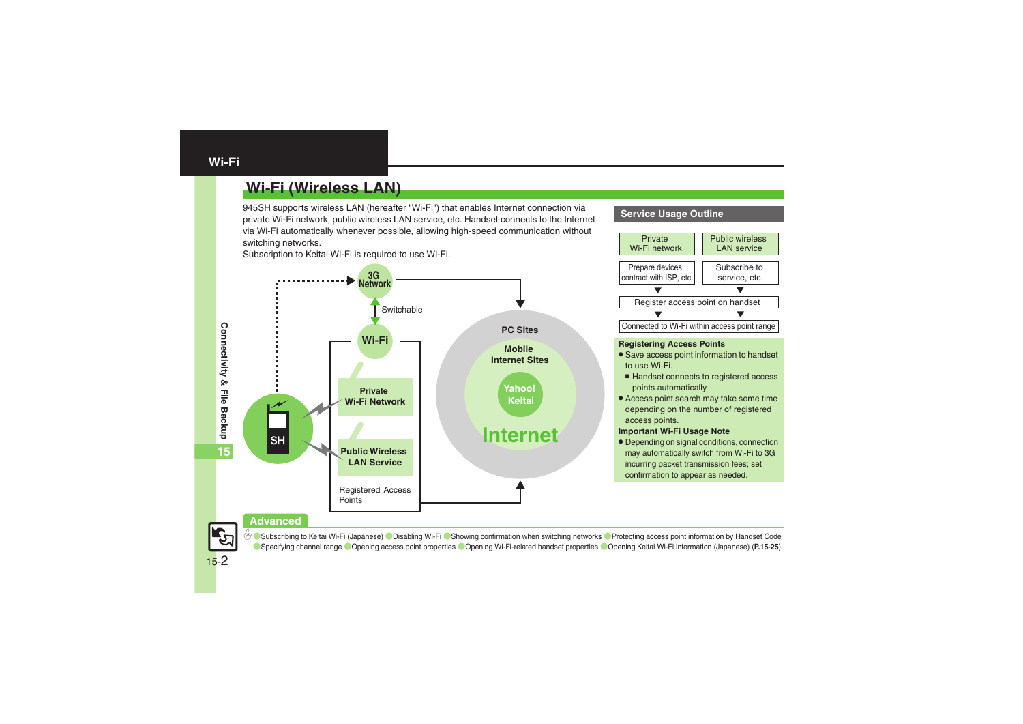# <span id="page-1-1"></span><span id="page-1-0"></span>**Wi-Fi (Wireless LAN)**

945SH supports wireless LAN (hereafter "Wi-Fi") that enables Internet connection via private Wi-Fi network, public wireless LAN service, etc. Handset connects to the Internet via Wi-Fi automatically whenever possible, allowing high-speed communication without switching networks.

Subscription to Keitai Wi-Fi is required to use Wi-Fi.



#### **Service Usage Outline**



#### **Advanced**

C [Subscribing to Keitai Wi-Fi \(Japanese\)](#page-24-1) C [Disabling Wi-Fi](#page-24-2) C [Showing confirmation when switching networks](#page-24-3) [Protecting access point information by Handset Code](#page-24-4) ([Specifying channel range](#page-24-5) ([Opening access point properties](#page-24-6) ([Opening Wi-Fi-related handset properties](#page-24-7) ([Opening Keitai Wi-Fi information \(Japanese\)](#page-24-8) (**[P.15-25](#page-24-2)**)

15-2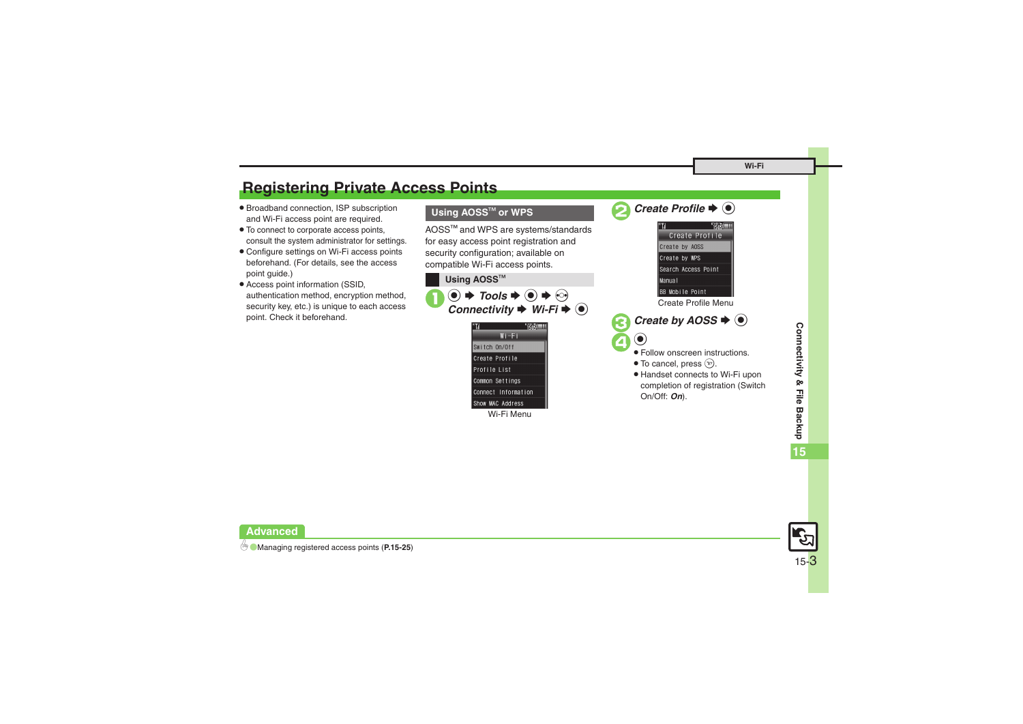# <span id="page-2-0"></span>**Registering Private Access Points**

- . Broadband connection, ISP subscription and Wi-Fi access point are required.
- . To connect to corporate access points, consult the system administrator for settings.
- . Configure settings on Wi-Fi access points beforehand. (For details, see the access point guide.)
- . Access point information (SSID, authentication method, encryption method, security key, etc.) is unique to each access point. Check it beforehand.

#### **Using AOSS<sup>™</sup> or WPS**

AOSS<sup>™</sup> and WPS are systems/standards for easy access point registration and security configuration; available on compatible Wi-Fi access points.



Wi-Fi Menu





Create Profile Menu

*Create by AOSS*  $\blacklozenge$   $\odot$ 



- $\bigcirc$   $\bigcirc$  Follow onscreen instructions.
	- $\bullet$  To cancel, press  $\circledcirc$ .
	- . Handset connects to Wi-Fi upon completion of registration (Switch On/Off: *On*).



**Advanced**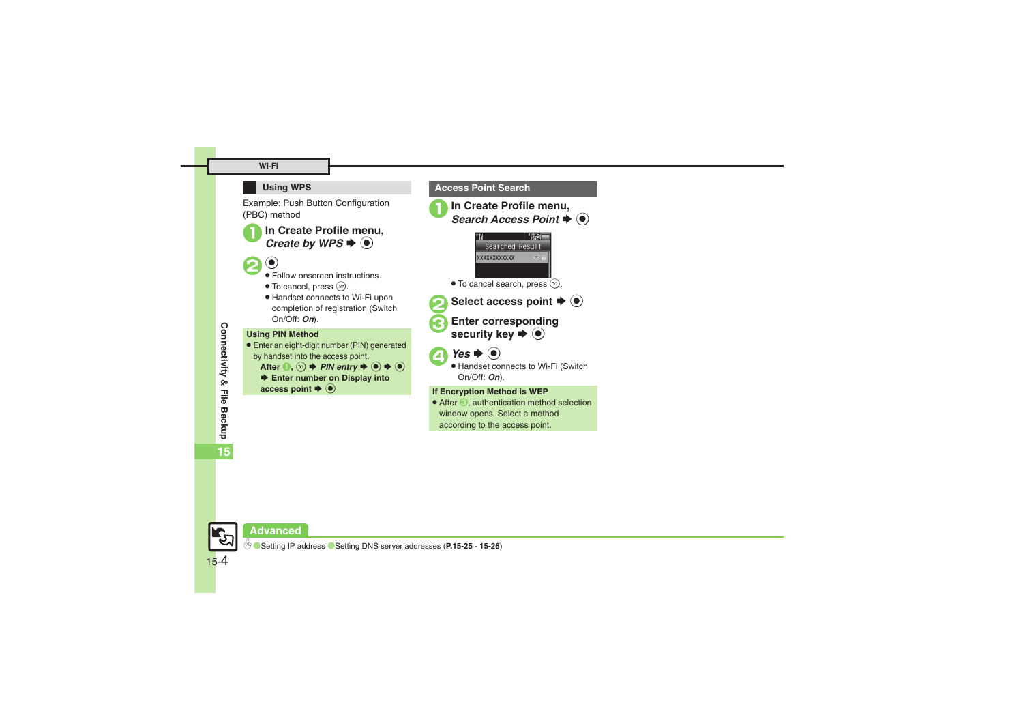#### **Wi-Fi**

#### **Using WPS**

Example: Push Button Configuration (PBC) method

In Create Profile menu, Create by WPS  $\bigodot$ 

20 Follow onscreen instructions.

- $\bullet$  To cancel, press  $\circledcirc$ .
- . Handset connects to Wi-Fi upon completion of registration (Switch On/Off: *On*).

#### **Using PIN Method**

- . Enter an eight-digit number (PIN) generated by handset into the access point.
	- After  $\mathbf{0}, \Omega$   $\Rightarrow$  *PIN entry*  $\Rightarrow$   $\odot$   $\Rightarrow$   $\odot$
	- $▶$  **Enter number on Display into** access point  $\blacktriangleright$   $\textcircled{\scriptsize{\bullet}}$



**Access Point Search**

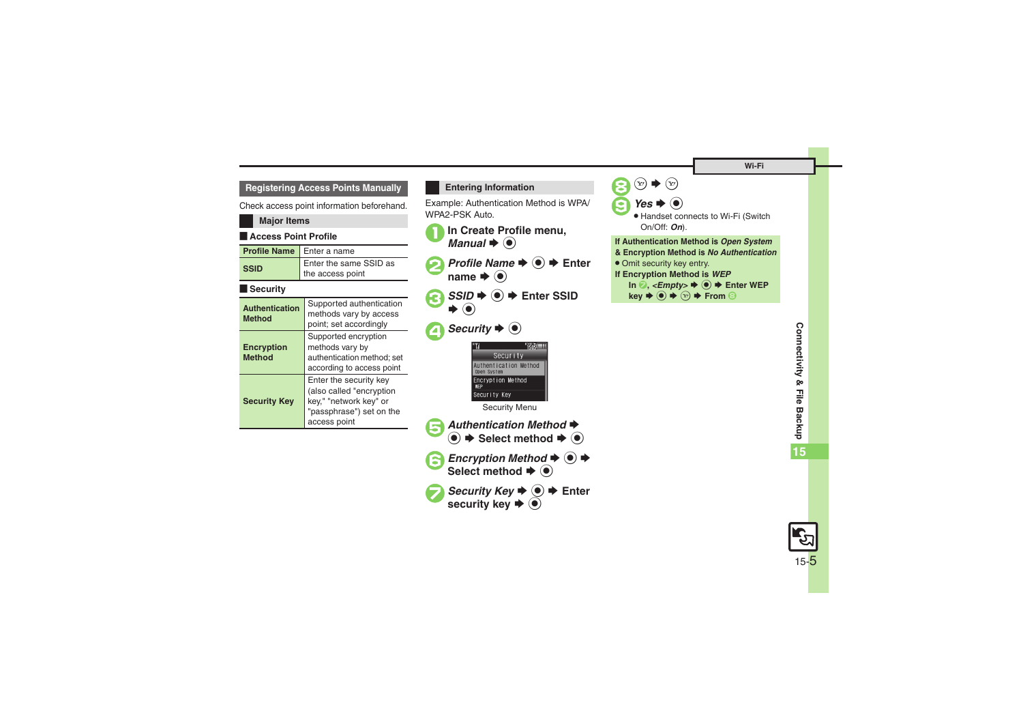**15**

#### **Registering Access Points Manually**

Check access point information beforehand.

#### **Major Items**

#### **Exercise Point Profile**

**Method**

**Security Key**

| <b>Profile Name</b>                    | Enter a name                                                                 |
|----------------------------------------|------------------------------------------------------------------------------|
| <b>SSID</b>                            | Enter the same SSID as<br>the access point                                   |
| <b>Security</b>                        |                                                                              |
| <b>Authentication</b><br><b>Method</b> | Supported authentication<br>methods vary by access<br>point; set accordingly |
| Encryption                             | Supported encryption<br>methods vary by                                      |

authentication method; set according to access point

Enter the security key (also called "encryption key," "network key" or "passphrase") set on the

access point

#### <span id="page-4-0"></span>**Entering Information**

Example: Authentication Method is WPA/ WPA2-PSK Auto.

- **In Create Profile menu.**  $\blacktriangleright$   $\textcircled{\scriptsize{}}$
- **2** *Profile Name*  $\Rightarrow$  **<sup>●</sup>**  $\Rightarrow$  Enter name  $\blacktriangleright$   $\textcircled{\scriptsize{\bullet}}$
- *SSID* $\rightarrow$  **<b>**  $\odot$   $\rightarrow$  Enter SSID S $\textcolor{blue}{\bullet}$

# 4 Security  $\blacklozenge$



Security Menu

- 5*Authentication Method* S $\textcircled{\textbullet} \blacktriangleright$  Select method  $\blacktriangleright$   $\textcircled{\textbullet}$
- **Encryption Method → →** Select method  $\blacktriangleright$  **O**
- **7** Security Key  $\rightarrow$   $\rightarrow$  Enter **security key**  S %

8  $\left( \mathbf{x}\right)$  $\blacktriangleright$  (y)  $9$ *Yes*  $\rightarrow$   $\odot$ . Handset connects to Wi-Fi (Switch On/Off: *On*). **If Authentication Method is** *Open System* **& Encryption Method is** *No Authentication* **.** Omit security key entry. **If Encryption Method is** *WEP* In  $\odot$ , *<Empty>*  $\blacktriangleright$   $\odot$   $\blacktriangleright$  Enter WEP  $\text{key} \rightarrow \textcircled{\rightarrow} \leftrightarrow \textcircled{\rightarrow} \text{ From } \textcircled{\rightarrow}$ 

> 15-5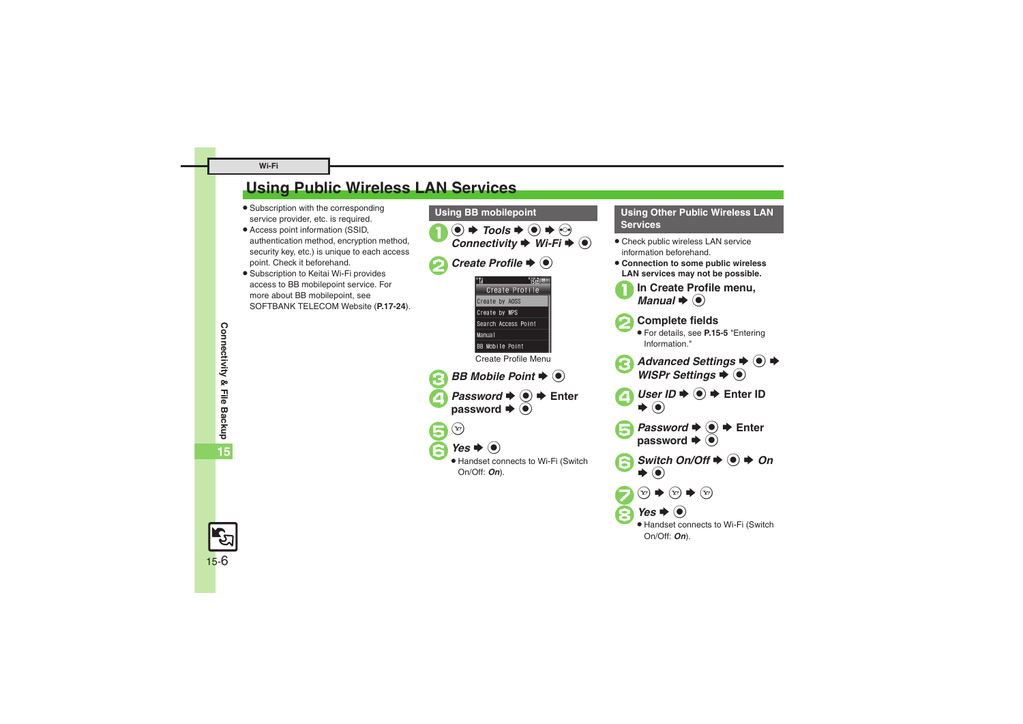**Connectivity & File Backup**

Connectivity & File Backup

**15**

15-6

# <span id="page-5-0"></span>**Using Public Wireless LAN Services**

- **•** Subscription with the corresponding service provider, etc. is required.
- . Access point information (SSID, authentication method, encryption method, security key, etc.) is unique to each access point. Check it beforehand.
- . Subscription to Keitai Wi-Fi provides access to BB mobilepoint service. For more about BB mobilepoint, see SOFTBANK TELECOM Website (**P.17-24**).



# **Services**

- . Check public wireless LAN service information beforehand.
- . **Connection to some public wireless LAN services may not be possible.**
	- **In Create Profile menu.**  $\mathbf{\mathsf{I}}\bullet\mathbf{\mathsf{O}}$
	- 2**Complete fields** .
	- For details, see **[P.15-5](#page-4-0)** "Entering Information."
- *Advanced Settings*  $\rightarrow$  <sup>●</sup> → *WISPr Settings*  $\rightarrow$  <sup>●</sup>
- $UserID \Rightarrow \textcircled{\textcircled{\#}}$  Enter ID  $\blacktriangleright$  (0)
- **Password**  $\Rightarrow$  $\circledast$   $\Rightarrow$  Enter password  $\Rightarrow$   $\circledast$
- $S$ *Witch On/Off*  $\blacktriangleright$   $\textcircled{\scriptsize{\bullet}}$   $\blacktriangleright$  *On*  $\blacktriangleright$  (e)

Handset connects to Wi-Fi (Switch

 $\widehat{P}$   $\Rightarrow$   $\widehat{P}$   $\Rightarrow$   $\widehat{P}$ 

 $Yes$   $\bullet$   $\bullet$ 

On/Off: *On*).

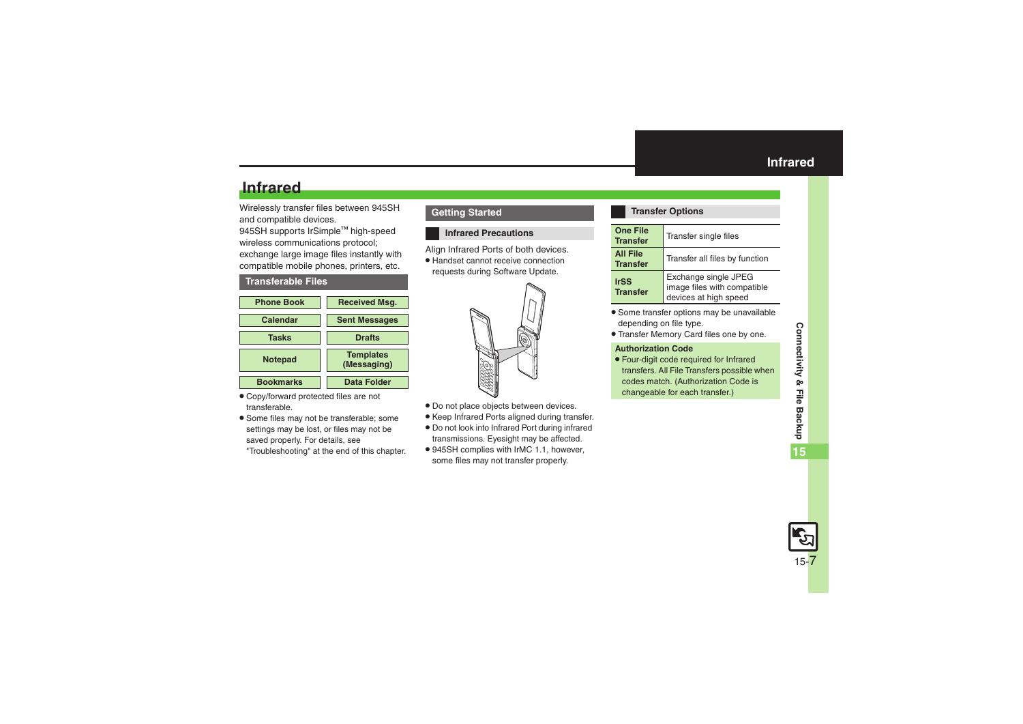# **Infrared**

Wirelessly transfer files between 945SH and compatible devices.

945SH supports IrSimple™ high-speed wireless communications protocol; exchange large image files instantly with compatible mobile phones, printers, etc.

#### <span id="page-6-2"></span>**Transferable Files**



- . Copy/forward protected files are not transferable.
- . Some files may not be transferable; some settings may be lost, or files may not be saved properly. For details, see "Troubleshooting" at the end of this chapter.

**Getting Started**

#### <span id="page-6-1"></span>**Infrared Precautions**

Align Infrared Ports of both devices.

. Handset cannot receive connection requests during Software Update.



- . Do not place objects between devices.
- . Keep Infrared Ports aligned during transfer.
- . Do not look into Infrared Port during infrared transmissions. Eyesight may be affected.
- . 945SH complies with IrMC 1.1, however, some files may not transfer properly.

#### <span id="page-6-0"></span>**Transfer Options**

| <b>One File</b><br><b>Transfer</b> | Transfer single files                                                        |
|------------------------------------|------------------------------------------------------------------------------|
| <b>All File</b><br><b>Transfer</b> | Transfer all files by function                                               |
| <b>IrSS</b><br><b>Transfer</b>     | Exchange single JPEG<br>image files with compatible<br>devices at high speed |

- . Some transfer options may be unavailable depending on file type.
- . Transfer Memory Card files one by one.

#### **Authorization Code**

. Four-digit code required for Infrared transfers. All File Transfers possible when codes match. (Authorization Code is changeable for each transfer.)

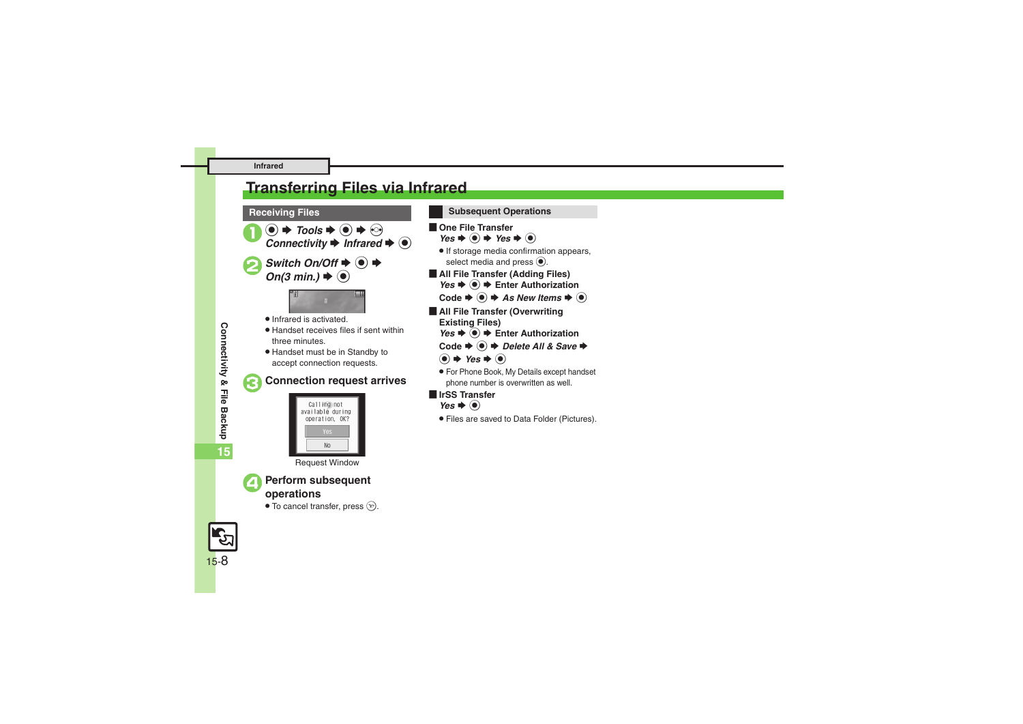# <span id="page-7-0"></span>**Transferring Files via Infrared**

- $\circledcirc \Rightarrow$  Tools  $\Rightarrow$   $\circledcirc \Rightarrow$  Connectivity  $\Rightarrow$  *Infrared*  $\Rightarrow$   $\circledcirc$
- $Switch On/Off \bigoplus \bigoplus$   $\bigoplus$  **On**(3 min.)  $\bigoplus$  **(e)**



- . Infrared is activated.
- . Handset receives files if sent within three minutes.
- . Handset must be in Standby to accept connection requests.

### 3**Connection request arrives**



Request Window



<sup>4</sup>**Perform subsequent operations**

 $\bullet$  To cancel transfer, press  $\circledcirc$ .

#### **Receiving Files Subsequent Operations**

- $\blacksquare$  One File Transfer
	- $Yes$   $\bullet$   $\odot$   $\bullet$  *Yes*  $\bullet$   $\odot$
- . If storage media confirmation appears, select media and press  $\odot$ .
- [ **All File Transfer (Adding Files)** *Yes*  $\bullet$  **●**  $\bullet$  Enter Authorization
	- $\text{Code} \rightarrow \textcircled{\textbf{\textcirc}} \blacktriangleright \textit{As}$  *New Items*  $\blacktriangleright \textcircled{\textcircled{\textcirc}}$
- **E** All File Transfer (Overwriting **Existing Files)**
	- *Yes*  $\rightarrow$  **●** Enter Authorization
	- $Code$   $\blacklozenge$   $\blacklozenge$  *Delete All & Save*  $\blacktriangleright$
	- $\circledbullet \Rightarrow \mathsf{Yes} \Rightarrow \circledbullet$
	- . For Phone Book, My Details except handset phone number is overwritten as well.
- [ **IrSS Transfer** *Yes*  $\bullet$   $\odot$ 
	- . Files are saved to Data Folder (Pictures).

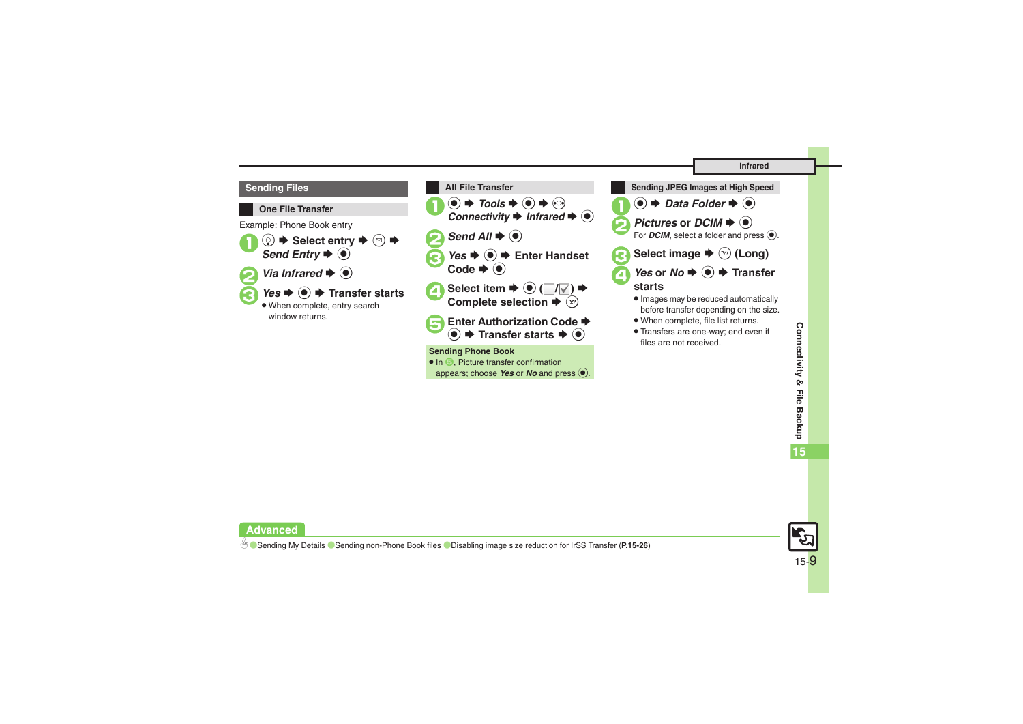





. Transfers are one-way; end even if files are not received.



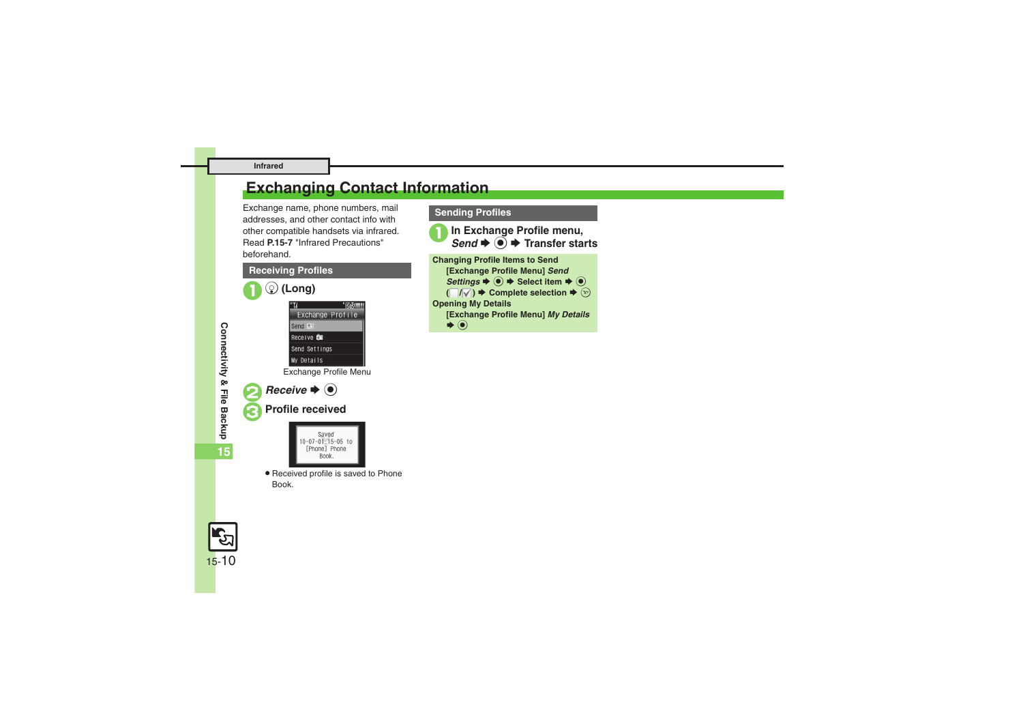#### **Infrared**

# <span id="page-9-0"></span>**Exchanging Contact Information**

Exchange name, phone numbers, mail addresses, and other contact info with other compatible handsets via infrared. Read **[P.15-7](#page-6-1)** "Infrared Precautions" beforehand.



#### **Sending Profiles**

**In Exchange Profile menu,** d  $\rightarrow$  **● Transfer starts Changing Profile Items to Send [Exchange Profile Menu]** *Send*   $Setting s \rightarrow \textcircled{\textcircled{\textcirc}} \Rightarrow Select item \rightarrow \textcircled{\textcircled{\textcirc}}$  $(\Box/\Box) \rightarrow$  Complete selection  $\rightarrow \Box$ **Opening My Details [Exchange Profile Menu]** *My Details*  $\blacklozenge$ 

**Connectivity & File Backup**

Connectivity & File Backup

**15**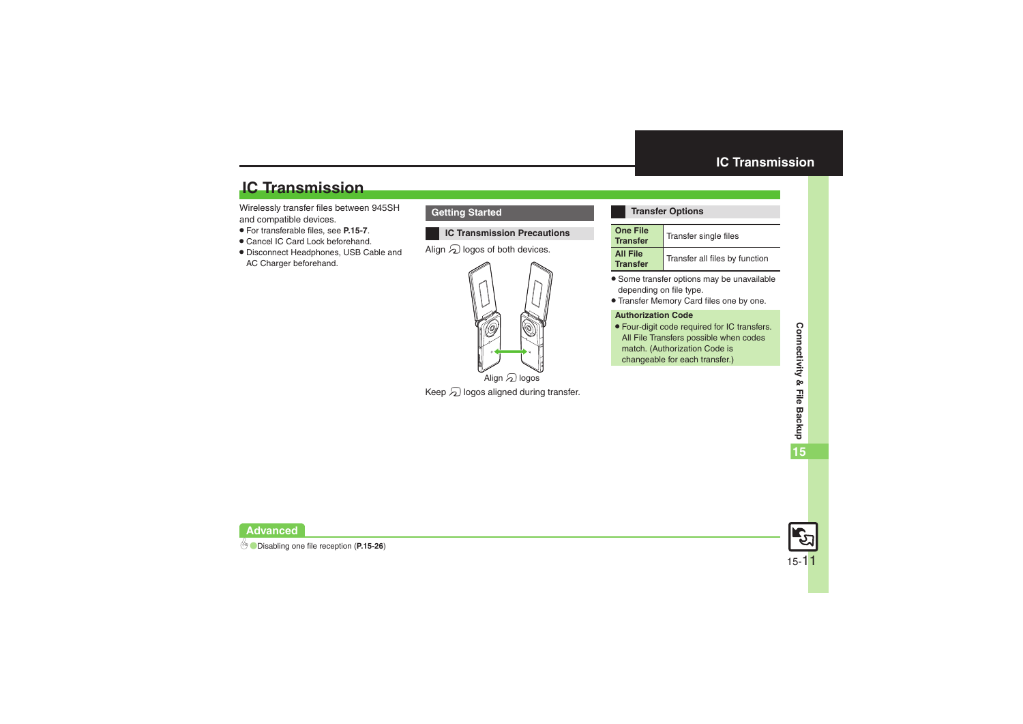# **IC Transmission**

Wirelessly transfer files between 945SH and compatible devices.

- . For transferable files, see **[P.15-7](#page-6-2)**.
- . Cancel IC Card Lock beforehand.
- . Disconnect Headphones, USB Cable and AC Charger beforehand.

#### **Getting Started**

#### **IC Transmission Precautions**

Align  $\varpi$  logos of both devices.



Keep  $\varpi$  logos aligned during transfer.

#### <span id="page-10-0"></span>**Transfer Options**

| <b>One File</b><br><b>Transfer</b> | Transfer single files          |
|------------------------------------|--------------------------------|
| <b>All File</b><br><b>Transfer</b> | Transfer all files by function |

- . Some transfer options may be unavailable depending on file type.
- . Transfer Memory Card files one by one.

#### **Authorization Code**

. Four-digit code required for IC transfers. All File Transfers possible when codes match. (Authorization Code is changeable for each transfer.)

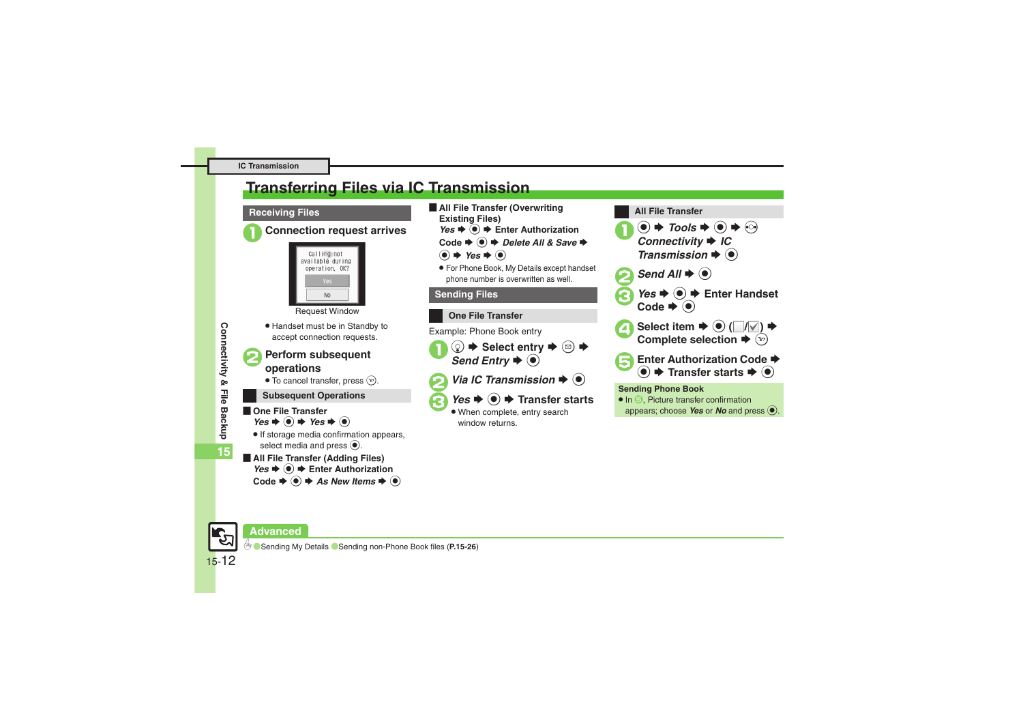# <span id="page-11-0"></span>**Transferring Files via IC Transmission**

#### **Receiving Files**







Request Window

. Handset must be in Standby to accept connection requests.

# <sup>2</sup>**Perform subsequent operations**

 $\bullet$  To cancel transfer, press  $\circledcirc$ .

### **Subsequent Operations**

- **De File Transfer**  $Yes + @ + Yes + @$ 
	- . If storage media confirmation appears, select media and press  $\odot$ .
- [ **All File Transfer (Adding Files)** *Yes*  $\rightarrow$  **●** Enter Authorization  $Code \rightarrow \textcircled{\textcircled{\#}}$  *As New Items*  $\rightarrow \textcircled{\textcircled{\#}}$
- **E** All File Transfer (Overwriting **Existing Files)**
	- *Yes*  $\rightarrow$  **●** Enter Authorization
	- $Code$   $\blacklozenge$   $\blacklozenge$  *Delete All & Save*  $\blacktriangleright$
	- $\bullet$   $\bullet$  *Yes*  $\bullet$   $\bullet$
	- . For Phone Book, My Details except handset phone number is overwritten as well.

### **Sending Files**



Example: Phone Book entry

 $\textcircled{1}$   $\blacktriangleright$  Select entry  $\blacktriangleright$   $\textcircled{2}$   $\blacktriangleright$ <br>*Send Entry*  $\blacktriangleright$   $\textcircled{1}$ 

*Via IC Transmission*  $\Rightarrow$   $\circledcirc$ 

## $Yes$   $\blacklozenge$   $\blacklozenge$  **Transfer starts**

 When complete, entry search window returns.



appears; choose **Yes** or **No** and press  $\odot$ .





15-12

**Connectivity & File Backup**

Connectivity & File Backup

**15**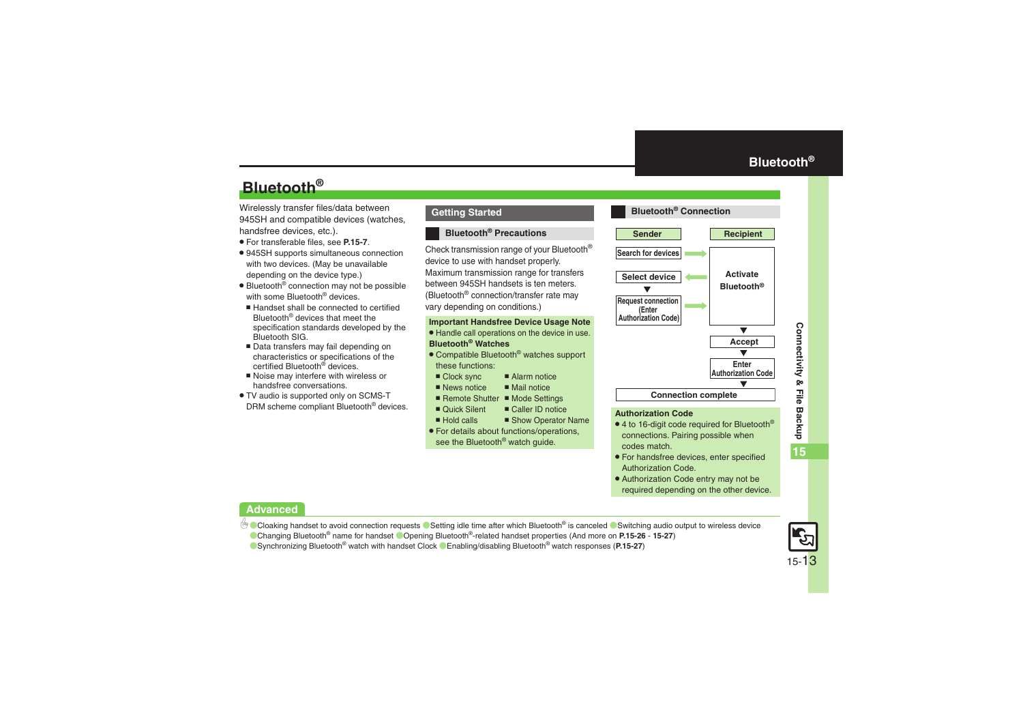# **Bluetooth®**

Wirelessly transfer files/data between 945SH and compatible devices (watches, handsfree devices, etc.).

- . For transferable files, see **[P.15-7](#page-6-2)**.
- . 945SH supports simultaneous connection with two devices. (May be unavailable depending on the device type.)
- Bluetooth<sup>®</sup> connection may not be possible with some Bluetooth<sup>®</sup> devices.
- Handset shall be connected to certified Bluetooth® devices that meet the specification standards developed by the Bluetooth SIG.
- Data transfers may fail depending on characteristics or specifications of the certified Bluetooth<sup>®</sup> devices.
- Noise may interfere with wireless or handsfree conversations.
- . TV audio is supported only on SCMS-T DRM scheme compliant Bluetooth® devices.

#### **Getting Started**

#### **Bluetooth® Precautions**

Check transmission range of your Bluetooth® device to use with handset properly. Maximum transmission range for transfers between 945SH handsets is ten meters. (Bluetooth® connection/transfer rate may vary depending on conditions.)

#### **Important Handsfree Device Usage Note**

- . Handle call operations on the device in use. **Bluetooth® Watches**
- Compatible Bluetooth<sup>®</sup> watches support these functions:
	- Clock sync 
	 Alarm notice
	- $\blacksquare$  News notice  $M$ ail notice
	- Remote Shutter Mode Settings  $\blacksquare$  Caller ID notice
- Ouick Silent
- Hold calls  $\blacksquare$  Show Operator Name
- . For details about functions/operations, see the Bluetooth<sup>®</sup> watch guide.

<span id="page-12-0"></span>

- $\bullet$  4 to 16-digit code required for Bluetooth® connections. Pairing possible when codes match.
- . For handsfree devices, enter specified Authorization Code.
- . Authorization Code entry may not be required depending on the other device.

#### **Advanced**

- 4 [Cloaking handset to avoid connection requests](#page-25-7) C[Setting idle time after which Bluetooth](#page-25-8)<sup>®</sup> is canceled C[Switching audio output to wireless device](#page-25-9) ([Changing Bluetooth](#page-25-10)® name for handset (Opening Bluetooth[®-related handset properties](#page-26-0) (And more on **[P.15-26](#page-25-7)** - **[15-27](#page-26-0)**)
	-

(Synchronizing Bluetooth[® watch with handset Clock](#page-26-1)  ([Enabling/disabling Bluetooth](#page-26-2)® watch responses (**[P.15-27](#page-26-1)**)

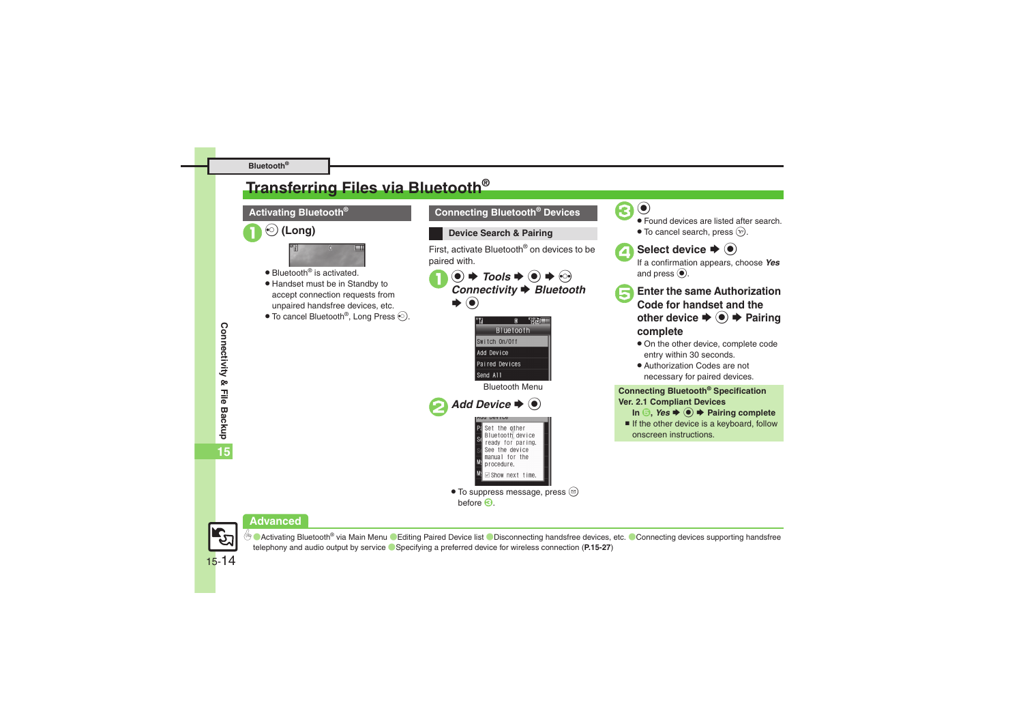#### **Bluetooth®**

# <span id="page-13-0"></span>**Transferring Files via Bluetooth®**

# $\odot$  (Long)



- Bluetooth<sup>®</sup> is activated.
- . Handset must be in Standby to accept connection requests from unpaired handsfree devices, etc.
- $\bullet$  To cancel Bluetooth®, Long Press  $\odot$ .

#### **Activating Bluetooth® Connecting Bluetooth® Devices**

#### **Device Search & Pairing**

First, activate Bluetooth® on devices to be paired with.

 $\circledbullet \Rightarrow$  *Tools*  $\Rightarrow$   $\circledbullet \Rightarrow$  *Connectivity*  $\Rightarrow$  *Bluetooth* S $\odot$ 



 $\bullet$  To suppress message, press  $\circledcirc$  $before$  $<sup>6</sup>$ </sup>



 Found devices are listed after search.  $\bullet$  To cancel search, press  $\circledcirc$ .



**Select device**  $\Rightarrow$  $\odot$  If a confirmation appears, choose *Yes* and press  $\circledbullet$ .

- 5**Enter the same Authorization Code for handset and the other device**  $\blacktriangleright$  **◉ → Pairing complete**
	- . On the other device, complete code entry within 30 seconds.
	- . Authorization Codes are not necessary for paired devices.

#### **Connecting Bluetooth® Specification Ver. 2.1 Compliant Devices**

- $\text{In} \quad \text{\textcircled{\textcirc}}, \text{Yes} \Rightarrow \text{\textcircled{\textcirc}} \Rightarrow \text{Pairing complete}$
- $\blacksquare$  If the other device is a keyboard, follow onscreen instructions.

#### **Advanced**



<sup>5</sup>® ● [Activating Bluetooth](#page-26-3)<sup>®</sup> via Main Menu ● [Editing Paired Device list](#page-26-4) ● [Disconnecting handsfree devices, etc.](#page-26-5) ● Connecting devices supporting handsfree [telephony and audio output by service](#page-26-6) ([Specifying a preferred device for wireless connection](#page-26-7) (**[P.15-27](#page-26-3)**)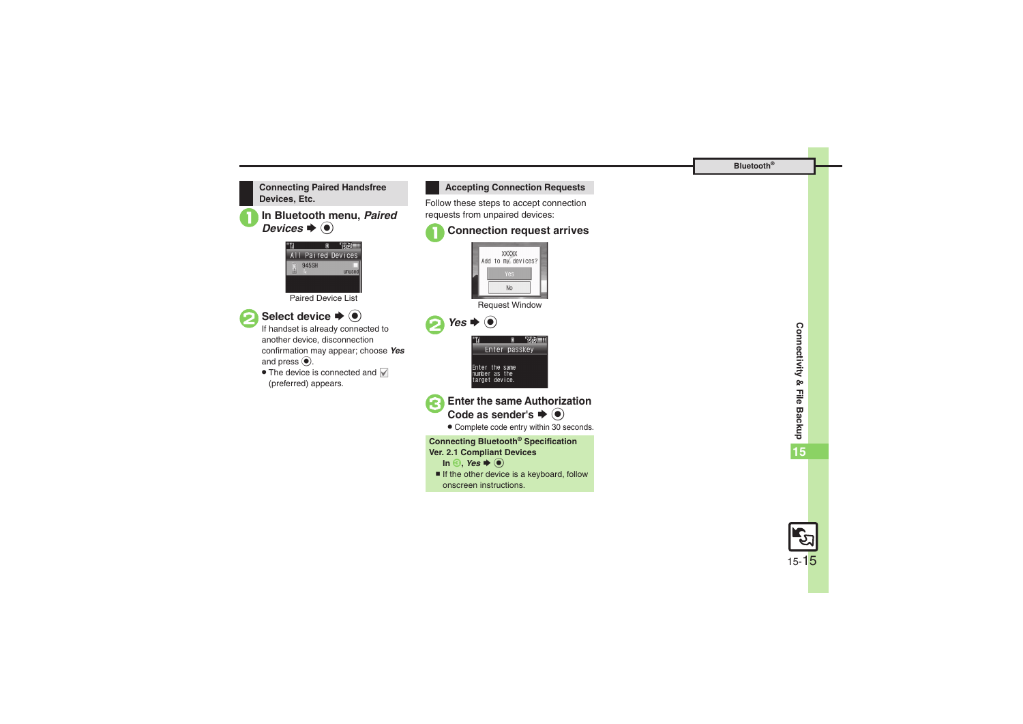



**In Bluetooth menu, Paired**  $\mathbf{s} \mathbin{\blacktriangleright} \mathbf{\Theta}$ 



Paired Device List



# Select device  $\bigstar$   $\odot$ <br>If handset is already connected to

another device, disconnection confirmation may appear; choose *Yes* and press  $\circledbullet$ .

• The device is connected and (preferred) appears.



Follow these steps to accept connection requests from unpaired devices:





Request Window



- **Enter the same Authorization** Code as sender's  $\blacktriangleright$  ( $\blacklozenge$ )
	- . Complete code entry within 30 seconds.

#### **Connecting Bluetooth® Specification Ver. 2.1 Compliant Devices**

- $\ln \Theta$ , *Yes*  $\blacklozenge$   $\odot$
- $\blacksquare$  If the other device is a keyboard, follow onscreen instructions.

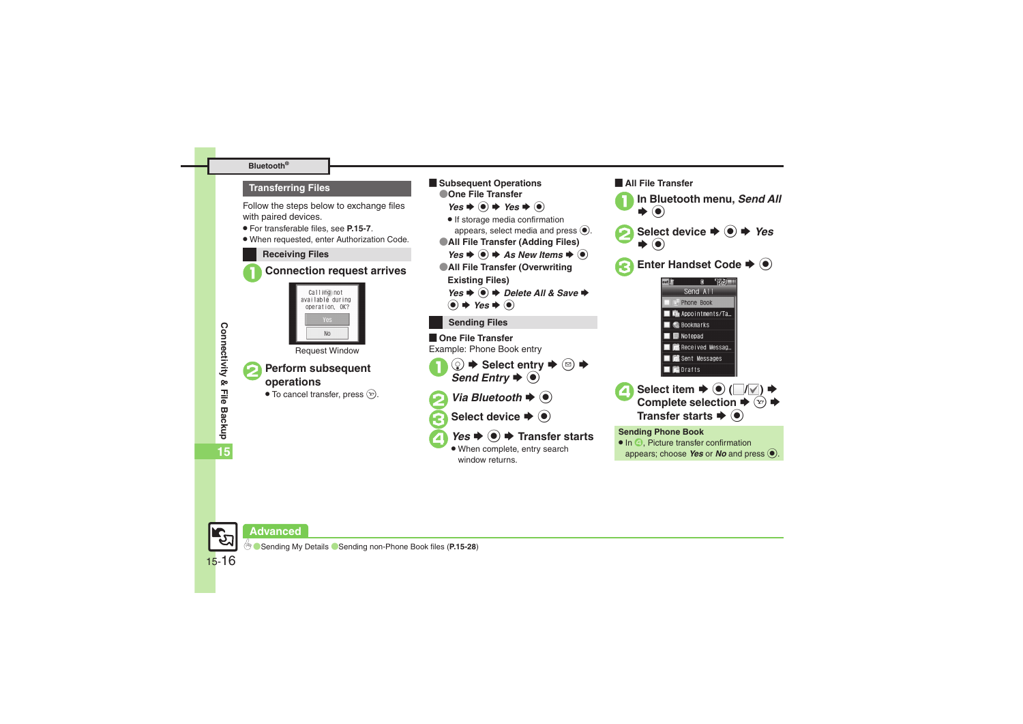#### **Bluetooth®**

#### **Transferring Files**

Follow the steps below to exchange files with paired devices.

- . For transferable files, see **[P.15-7](#page-6-2)**.
- . When requested, enter Authorization Code.

#### **Receiving Files**





Request Window



**15**

- <sup>2</sup>**Perform subsequent operations**
- $\bullet$  To cancel transfer, press  $\circledcirc$ .



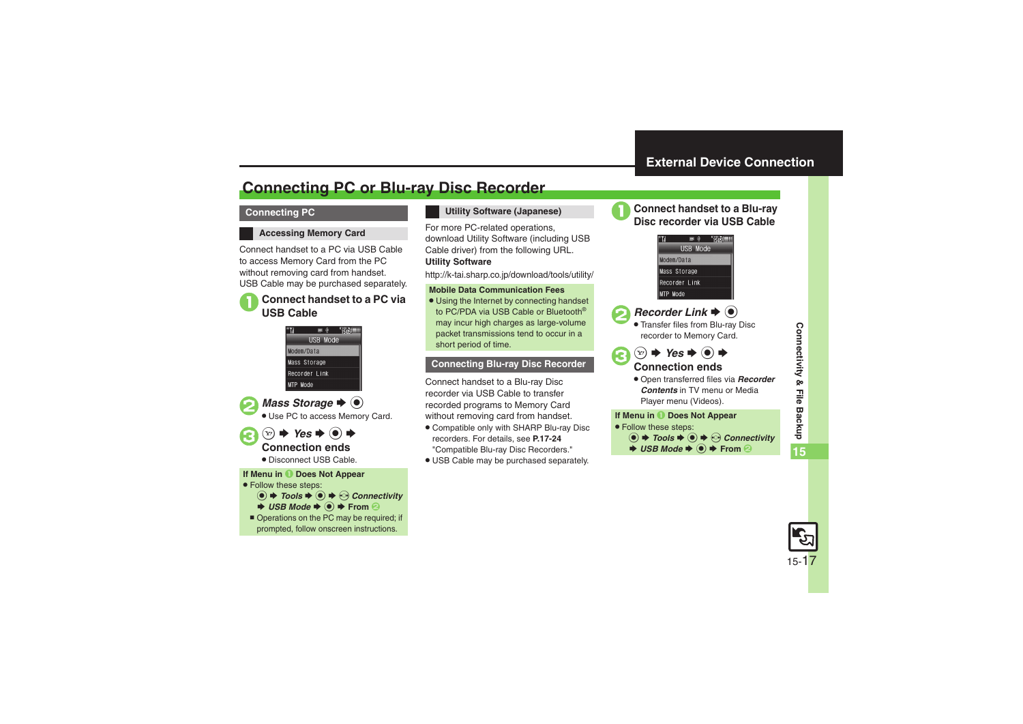# <span id="page-16-1"></span>**Connecting PC or Blu-ray Disc Recorder**

#### **Connecting PC**

#### **Accessing Memory Card**

Connect handset to a PC via USB Cable to access Memory Card from the PC without removing card from handset. USB Cable may be purchased separately.

# 1**Connect handset to a PC via USB Cable**

## $\blacksquare$   $\Uparrow$   $\blacksquare$   $\blacksquare$ USB Mode





#### $\circledcirc$   $\Rightarrow$  Yes  $\Rightarrow$   $\circledcirc$   $\Rightarrow$ **Connection ends**

. Disconnect USB Cable.

#### **If Menu in** 1 **Does Not Appear**

- . Follow these steps:
	- **tools**  $\blacklozenge$  $\blacklozenge$  $\heartsuit$ *Connectivity*  $\blacktriangleright$  **USB Mode**  $\blacktriangleright$  $\textcircled{\blacktriangleright}$  $\blacktriangleright$  **From 2**
- Operations on the PC may be required; if prompted, follow onscreen instructions.

#### **Utility Software (Japanese)**

For more PC-related operations, download Utility Software (including USB Cable driver) from the following URL. **Utility Software**

http://k-tai.sharp.co.jp/download/tools/utility/

#### **Mobile Data Communication Fees**

• Using the Internet by connecting handset to PC/PDA via USB Cable or Bluetooth® may incur high charges as large-volume packet transmissions tend to occur in a short period of time.

#### **Connecting Blu-ray Disc Recorder**

Connect handset to a Blu-ray Disc recorder via USB Cable to transfer recorded programs to Memory Card without removing card from handset.

- . Compatible only with SHARP Blu-ray Disc recorders. For details, see **P.17-24** "Compatible Blu-ray Disc Recorders."
- . USB Cable may be purchased separately.



<span id="page-16-0"></span>1**Connect handset to a Blu-ray Disc recorder via USB Cable**



# **2** Recorder Link  $\rightarrow$  <sup>0</sup>

. Transfer files from Blu-ray Disc recorder to Memory Card.

#### 3  $\circledcirc$   $\Rightarrow$  Yes  $\Rightarrow$   $\circledcirc$   $\Rightarrow$ **Connection ends**

. Open transferred files via *Recorder Contents* in TV menu or Media Player menu (Videos).

#### **If Menu in** 1 **Does Not Appear**

- . Follow these steps:
	- **tools**  $\blacklozenge$  $\blacklozenge$  $\heartsuit$ *Connectivity*
	- $\rightarrow$  **USB Mode**  $\rightarrow$  **From** ②

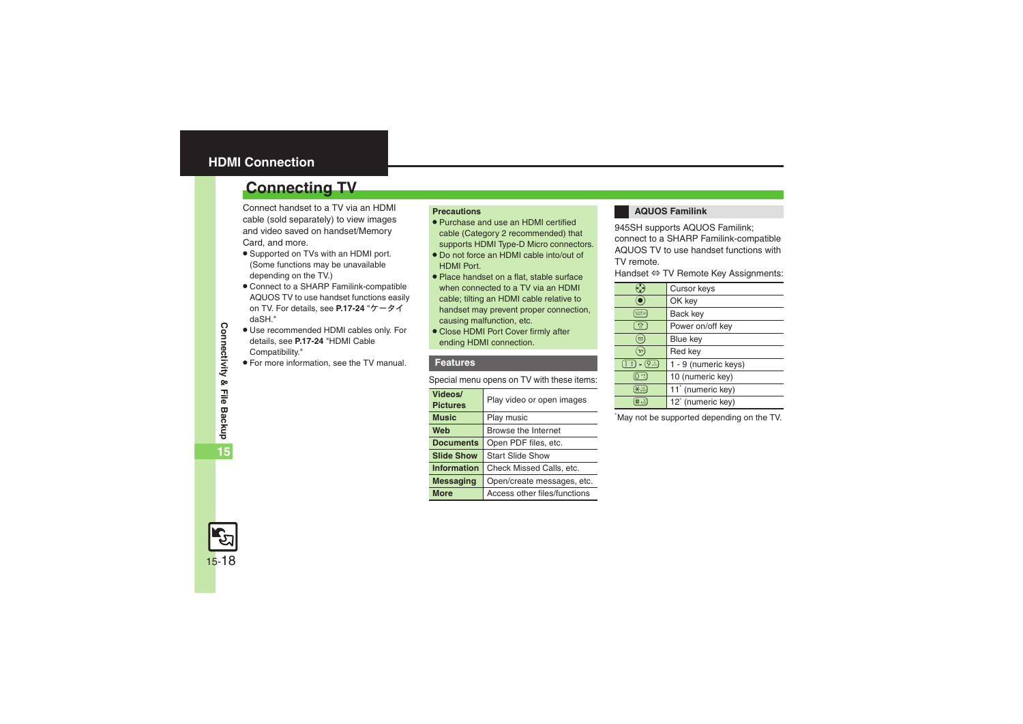## <span id="page-17-0"></span>**HDMI Connection**

# <span id="page-17-1"></span>**Connecting TV**

Connect handset to a TV via an HDMI cable (sold separately) to view images and video saved on handset/Memory Card, and more.

- . Supported on TVs with an HDMI port. (Some functions may be unavailable depending on the TV.)
- . Connect to a SHARP Familink-compatible AQUOS TV to use handset functions easily on TV. For details, see **P.17-24** "ケータイ daSH."
- . Use recommended HDMI cables only. For details, see **P.17-24** "HDMI Cable Compatibility."
- . For more information, see the TV manual.

#### **Precautions**

- . Purchase and use an HDMI certified cable (Category 2 recommended) that supports HDMI Type-D Micro connectors.
- . Do not force an HDMI cable into/out of HDMI Port.
- . Place handset on a flat, stable surface when connected to a TV via an HDMI cable; tilting an HDMI cable relative to handset may prevent proper connection, causing malfunction, etc.
- Close HDMI Port Cover firmly after ending HDMI connection.

#### **Features**

Special menu opens on TV with these items:

| Videos/<br><b>Pictures</b> | Play video or open images    |
|----------------------------|------------------------------|
| <b>Music</b>               | Play music                   |
| Web                        | Browse the Internet          |
| <b>Documents</b>           | Open PDF files, etc.         |
| <b>Slide Show</b>          | <b>Start Slide Show</b>      |
| <b>Information</b>         | Check Missed Calls, etc.     |
| <b>Messaging</b>           | Open/create messages, etc.   |
| More                       | Access other files/functions |

#### **AQUOS Familink**

945SH supports AQUOS Familink; connect to a SHARP Familink-compatible AQUOS TV to use handset functions with TV remote.

Handset ⇔ TV Remote Key Assignments:

|                                         | Cursor keys                   |
|-----------------------------------------|-------------------------------|
|                                         | OK key                        |
| <b>REER</b>                             | Back key                      |
| $\mathbf{c}_2$                          | Power on/off key              |
| ⊠                                       | Blue key                      |
| Y)                                      | Red key                       |
| $(9 - )$<br>$\lceil \frac{s}{s} \rceil$ | 1 - 9 (numeric keys)          |
| 幔                                       | 10 (numeric key)              |
| $X \ddot{X}$                            | 11 <sup>*</sup> (numeric key) |
|                                         | $12*$ (numeric key)           |

\*May not be supported depending on the TV.

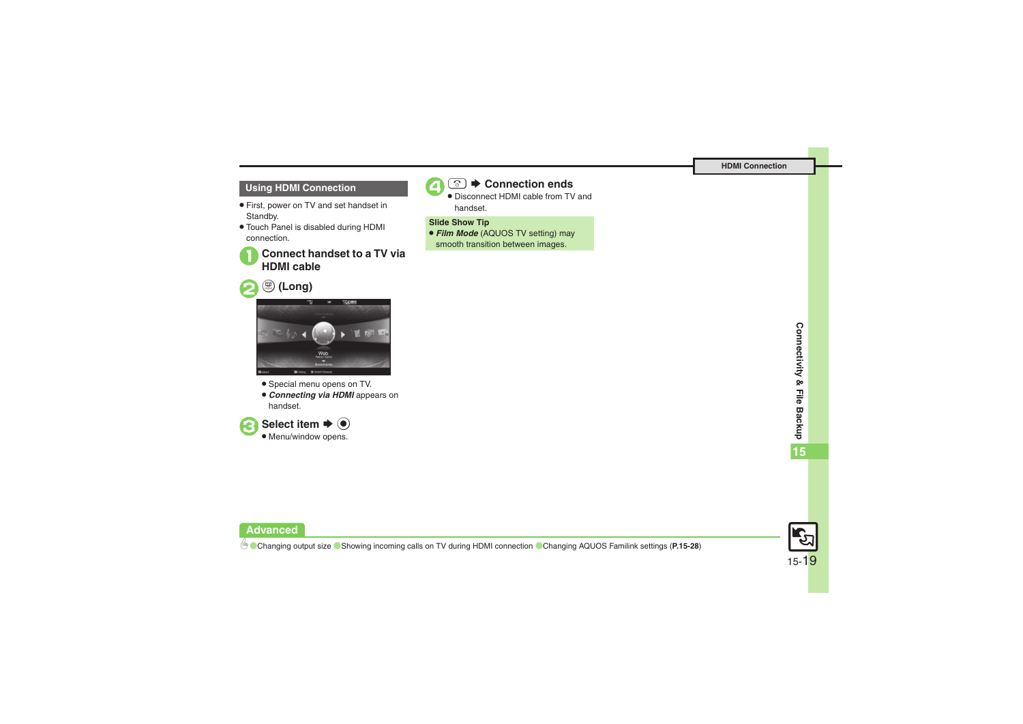#### **Using HDMI Connection**

- . First, power on TV and set handset in Standby.
- . Touch Panel is disabled during HDMI connection.

# 1**Connect handset to a TV via HDMI cable**





- . Special menu opens on TV.
- . *Connecting via HDMI* appears on handset.





## 4"S **Connection ends** .

 Disconnect HDMI cable from TV and handset.

#### **Slide Show Tip**

. *Film Mode* (AQUOS TV setting) may smooth transition between images.



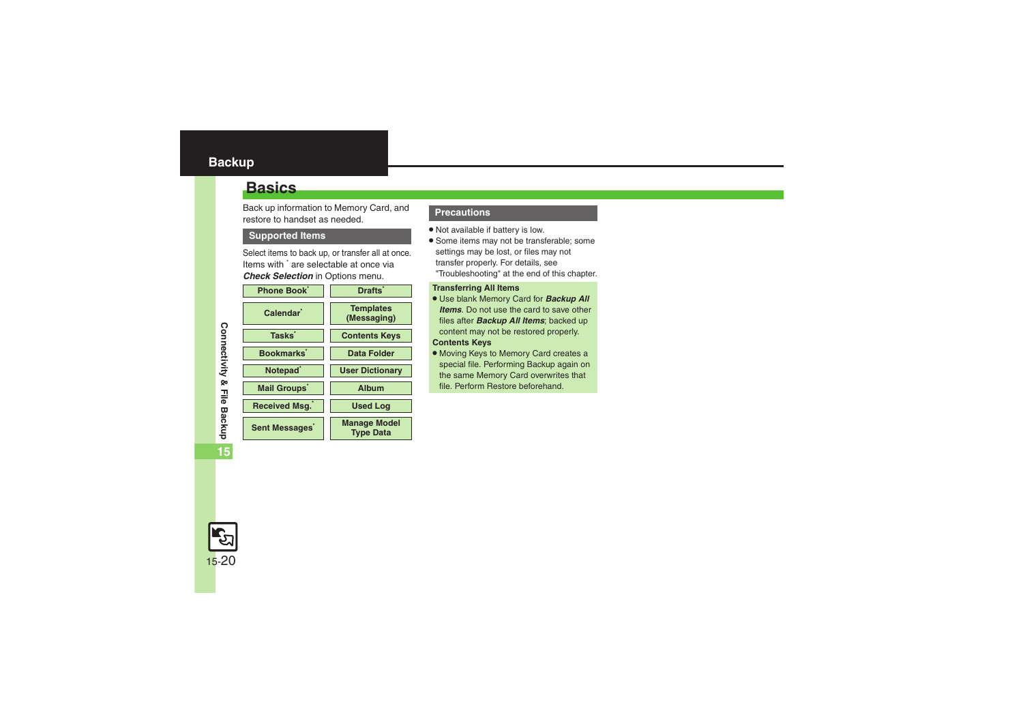## <span id="page-19-1"></span><span id="page-19-0"></span>**Basics**

Back up information to Memory Card, and restore to handset as needed.

#### **Supported Items**

Select items to back up, or transfer all at once. Items with \* are selectable at once via *Check Selection* in Options menu.

| <b>Phone Book</b>          | <b>Drafts</b>                           |
|----------------------------|-----------------------------------------|
| Calendar <sup>1</sup>      | <b>Templates</b><br>(Messaging)         |
| <b>Tasks</b>               | <b>Contents Keys</b>                    |
| Bookmarks <sup>*</sup>     | Data Folder                             |
| Notepad <sup>®</sup>       | <b>User Dictionary</b>                  |
| <b>Mail Groups</b>         | Album                                   |
| Received Msg.              | <b>Used Log</b>                         |
| Sent Messages <sup>*</sup> | <b>Manage Model</b><br><b>Type Data</b> |

#### **Precautions**

- . Not available if battery is low.
- . Some items may not be transferable; some settings may be lost, or files may not transfer properly. For details, see "Troubleshooting" at the end of this chapter.

#### **Transferring All Items**

- . Use blank Memory Card for *Backup All Items*. Do not use the card to save other files after *Backup All Items*; backed up content may not be restored properly. **Contents Keys**
- . Moving Keys to Memory Card creates a special file. Performing Backup again on the same Memory Card overwrites that file. Perform Restore beforehand.

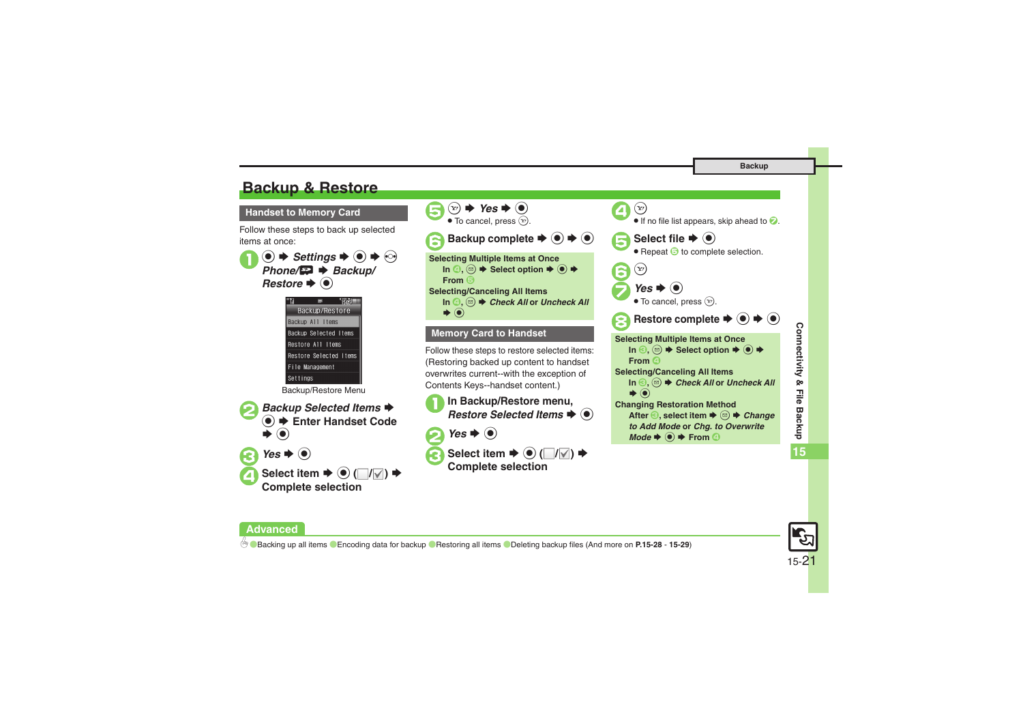# <span id="page-20-0"></span>**Backup & Restore**

**Handset to Memory Card**

Follow these steps to back up selected items at once:

 $\mathbf 0$  $\circledcirc$   $\Rightarrow$  *Settings*  $\Rightarrow$   $\circledcirc$   $\Rightarrow$   $\circledcirc$ *Phone/* $\bf{F}$  $\rightarrow$  *Backup/* **Restore**  $\blacklozenge$ 



Backup/Restore Menu



 $\bullet$  Select item  $\bullet$   $\odot$   $(\blacksquare/\blacksquare) \bullet$ **Complete selection**

**Advanced**



Connectivity & File Backup **Connectivity & File Backup 15**



#### 0([Backing up all items](#page-27-5) ([Encoding data for backup](#page-27-6)  ([Restoring all items](#page-27-7) ([Deleting backup files](#page-28-0) (And more on **[P.15-28](#page-27-5)** - **[15-29](#page-28-0)**)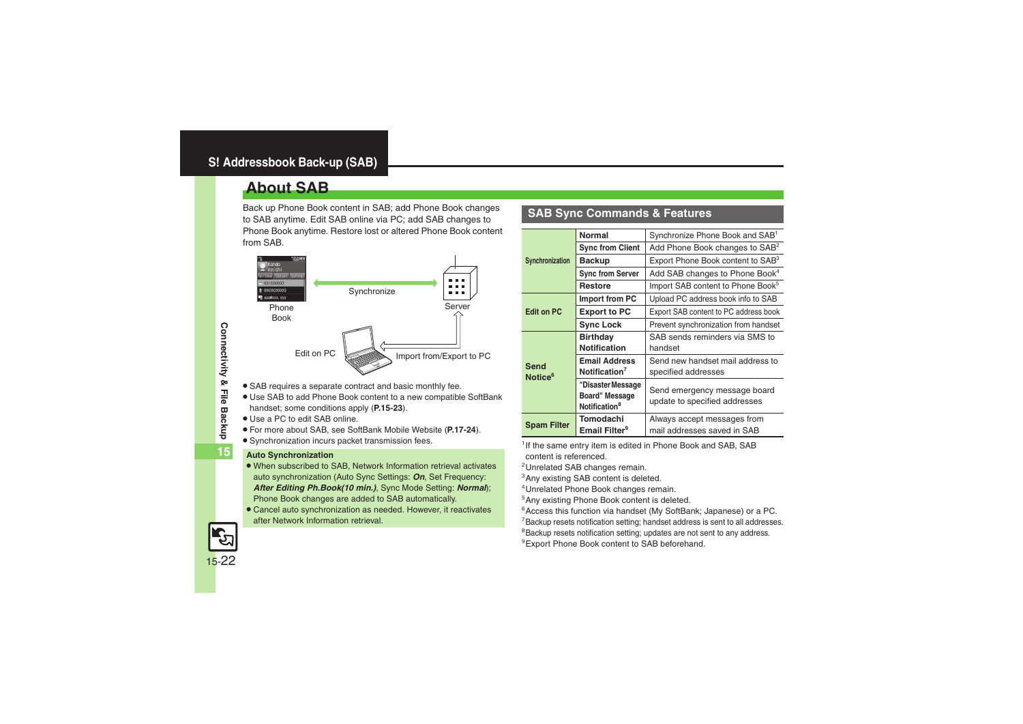# <span id="page-21-1"></span><span id="page-21-0"></span>**About SAB**

Back up Phone Book content in SAB; add Phone Book changes to SAB anytime. Edit SAB online via PC; add SAB changes to Phone Book anytime. Restore lost or altered Phone Book content from SAB.



- . SAB requires a separate contract and basic monthly fee.
- . Use SAB to add Phone Book content to a new compatible SoftBank handset; some conditions apply (**[P.15-23](#page-22-0)**).
- . Use a PC to edit SAB online.
- . For more about SAB, see SoftBank Mobile Website (**P.17-24**).
- Synchronization incurs packet transmission fees.

#### **Auto Synchronization**

- . When subscribed to SAB, Network Information retrieval activates auto synchronization (Auto Sync Settings: *On*, Set Frequency: *After Editing Ph.Book(10 min.)*, Sync Mode Setting: *Normal*); Phone Book changes are added to SAB automatically.
- . Cancel auto synchronization as needed. However, it reactivates after Network Information retrieval.

### **SAB Sync Commands & Features**

|                     | <b>Normal</b>             | Synchronize Phone Book and SAB <sup>1</sup>   |
|---------------------|---------------------------|-----------------------------------------------|
| Synchronization     | <b>Sync from Client</b>   | Add Phone Book changes to SAB <sup>2</sup>    |
|                     | <b>Backup</b>             | Export Phone Book content to SAB <sup>3</sup> |
|                     | <b>Sync from Server</b>   | Add SAB changes to Phone Book <sup>4</sup>    |
|                     | <b>Restore</b>            | Import SAB content to Phone Book <sup>5</sup> |
|                     | Import from PC            | Upload PC address book info to SAB            |
| <b>Edit on PC</b>   | <b>Export to PC</b>       | Export SAB content to PC address book         |
|                     | <b>Sync Lock</b>          | Prevent synchronization from handset          |
|                     | <b>Birthday</b>           | SAB sends reminders via SMS to                |
|                     | <b>Notification</b>       | handset                                       |
| Send                | <b>Email Address</b>      | Send new handset mail address to              |
| Notice <sup>6</sup> | Notification <sup>7</sup> | specified addresses                           |
|                     | "Disaster Message         | Send emergency message board                  |
|                     | <b>Board" Message</b>     | update to specified addresses                 |
|                     | Notification <sup>8</sup> |                                               |
| <b>Spam Filter</b>  | Tomodachi                 | Always accept messages from                   |
|                     | Email Filter <sup>9</sup> | mail addresses saved in SAB                   |

<sup>1</sup> If the same entry item is edited in Phone Book and SAB, SAB content is referenced.

2Unrelated SAB changes remain.

3Any existing SAB content is deleted.

4Unrelated Phone Book changes remain.

5Any existing Phone Book content is deleted.

<sup>6</sup> Access this function via handset (My SoftBank; Japanese) or a PC.

<sup>7</sup> Backup resets notification setting; handset address is sent to all addresses.

<sup>8</sup>Backup resets notification setting; updates are not sent to any address.

<sup>9</sup> Export Phone Book content to SAB beforehand.

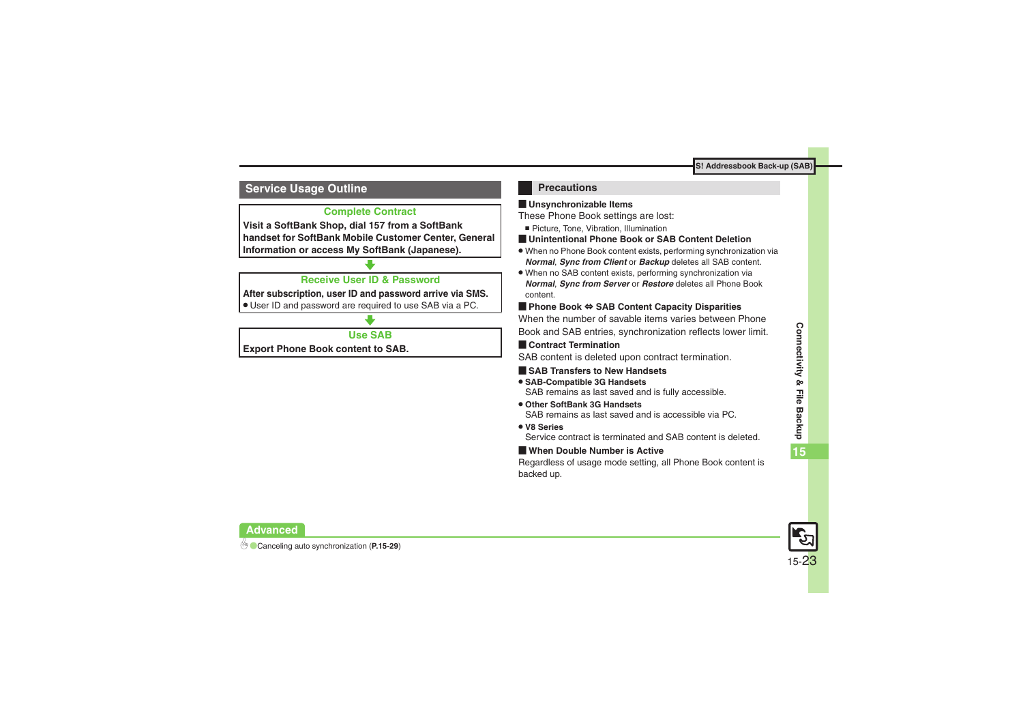#### <span id="page-22-0"></span>**Service Usage Outline**

### **Complete Contract**

**Visit a SoftBank Shop, dial 157 from a SoftBank handset for SoftBank Mobile Customer Center, General Information or access My SoftBank (Japanese).**

#### **Receive User ID & Password**

**After subscription, user ID and password arrive via SMS.**

. User ID and password are required to use SAB via a PC.

### **Use SAB**

**Export Phone Book content to SAB.**

#### **Precautions**

#### [ **Unsynchronizable Items**

These Phone Book settings are lost:

- Picture, Tone, Vibration, Illumination
- [ **Unintentional Phone Book or SAB Content Deletion**
- . When no Phone Book content exists, performing synchronization via *Normal*, *Sync from Client* or *Backup* deletes all SAB content.
- . When no SAB content exists, performing synchronization via *Normal*, *Sync from Server* or *Restore* deletes all Phone Book content.

#### [ **Phone Book**  <sup>⇔</sup> **SAB Content Capacity Disparities**

When the number of savable items varies between Phone Book and SAB entries, synchronization reflects lower limit.

#### **Exercicle Contract Termination**

SAB content is deleted upon contract termination.

#### $\blacksquare$  **SAB Transfers to New Handsets**

- . **SAB-Compatible 3G Handsets** SAB remains as last saved and is fully accessible.
- . **Other SoftBank 3G Handsets**SAB remains as last saved and is accessible via PC.
- . **V8 Series**

Service contract is terminated and SAB content is deleted.

#### [ **When Double Number is Active**

Regardless of usage mode setting, all Phone Book content is backed up.



**Advanced**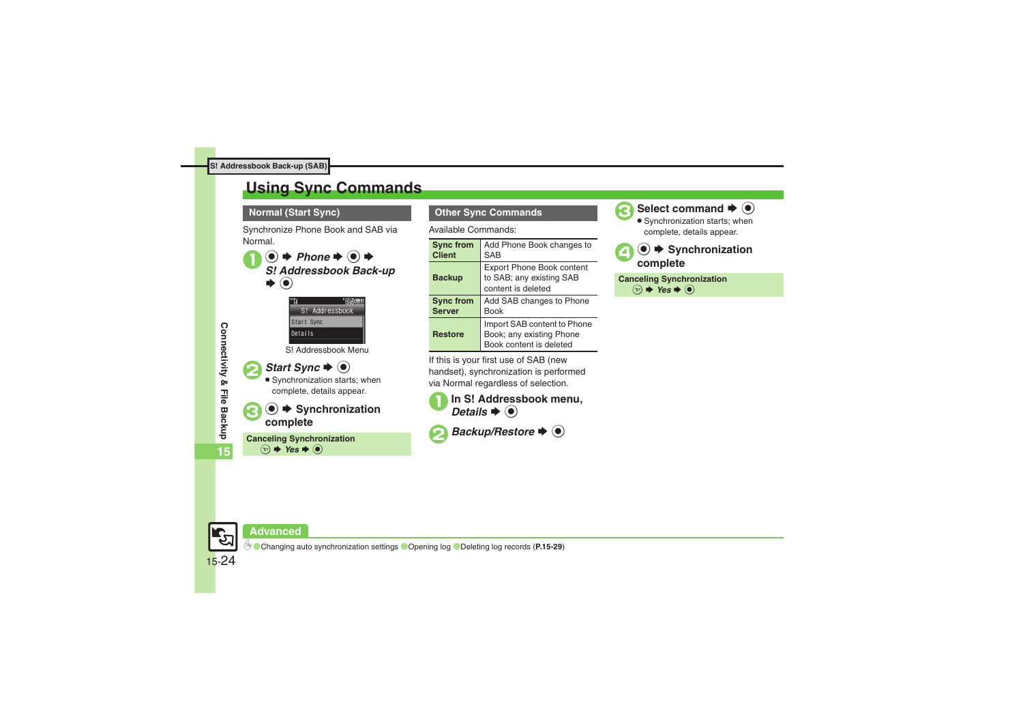# <span id="page-23-0"></span>**Using Sync Commands**

#### **Normal (Start Sync)**

Synchronize Phone Book and SAB via Normal.

**■**  $\rightarrow$ *Phone*  $\rightarrow$  **●**  $\rightarrow$  *S! Addressbook Back-up* S $\odot$ 





 Synchronization starts; when complete, details appear.

# **3 ● ★ Synchronization complete**

**Canceling Synchronization**  $\circledcirc$   $\blacktriangleright$  Yes  $\blacktriangleright$   $\circledcirc$ 

**Other Sync Commands**

Available Commands:

| <b>Sync from</b> | Add Phone Book changes to                                                          |
|------------------|------------------------------------------------------------------------------------|
| <b>Client</b>    | <b>SAB</b>                                                                         |
| <b>Backup</b>    | <b>Export Phone Book content</b><br>to SAB; any existing SAB<br>content is deleted |
| <b>Sync from</b> | Add SAB changes to Phone                                                           |
| <b>Server</b>    | <b>Book</b>                                                                        |
| <b>Restore</b>   | Import SAB content to Phone<br>Book; any existing Phone<br>Book content is deleted |

If this is your first use of SAB (new handset), synchronization is performed via Normal regardless of selection.



*Backup/Restore* ♦  $\odot$ 



**Select command → ©** 

 Synchronization starts; when complete, details appear.

**(●)**  $\blacktriangleright$  Synchronization complete

**Canceling Synchronization**  $\circledcirc$   $\Rightarrow$  **Yes**  $\Rightarrow$   $\circledcirc$ 

**15**



#### **Advanced**

0([Changing auto synchronization settings](#page-28-2) ([Opening log](#page-28-3) ([Deleting log records](#page-28-4) (**[P.15-29](#page-28-2)**)

15-24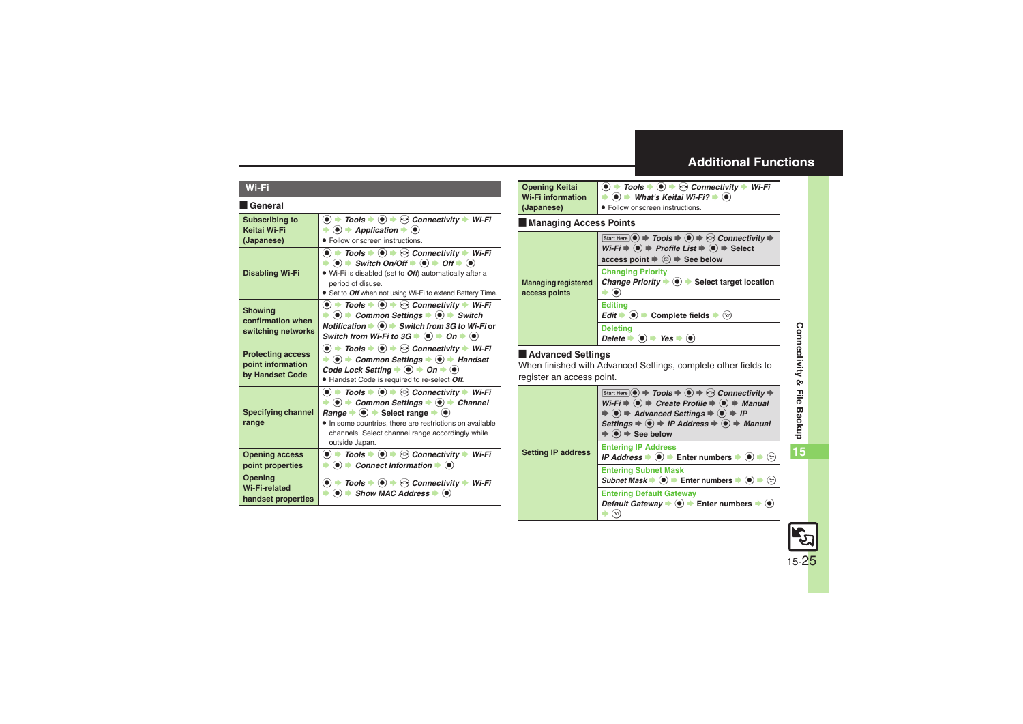### <span id="page-24-0"></span>**Additional Functions**

#### **Wi-Fi**

#### [ **General**

<span id="page-24-7"></span><span id="page-24-6"></span><span id="page-24-5"></span><span id="page-24-4"></span><span id="page-24-3"></span><span id="page-24-2"></span><span id="page-24-1"></span>

| <b>Subscribing to</b><br>Keitai Wi-Fi<br>(Japanese)              | $\bullet$ $\bullet$ Tools $\bullet$ $\bullet$ $\bullet$ Connectivity $\bullet$ Wi-Fi<br>$\langle \bullet \rangle$ $\Rightarrow$ Application $\Rightarrow$ $\langle \bullet \rangle$<br>· Follow onscreen instructions.                                                                                                                                                                                                                                                                                                                          |
|------------------------------------------------------------------|-------------------------------------------------------------------------------------------------------------------------------------------------------------------------------------------------------------------------------------------------------------------------------------------------------------------------------------------------------------------------------------------------------------------------------------------------------------------------------------------------------------------------------------------------|
| <b>Disabling Wi-Fi</b>                                           | $\textcircled{\bullet}$ $\Rightarrow$ Tools $\Rightarrow$ $\textcircled{\bullet}$ $\Rightarrow$ Connectivity $\Rightarrow$ Wi-Fi<br>$\Rightarrow$ (o) $\Rightarrow$ Switch On/Off $\Rightarrow$ (o) $\Rightarrow$ Off $\Rightarrow$ (o)<br>. Wi-Fi is disabled (set to Off) automatically after a<br>period of disuse.<br>• Set to Off when not using Wi-Fi to extend Battery Time.                                                                                                                                                             |
| <b>Showing</b><br>confirmation when<br>switching networks        | $\textcircled{\bullet}$ $\blacktriangleright$ Tools $\blacktriangleright$ $\textcircled{\bullet}$ $\blacktriangleright$ $\textcircled{\bullet}$ Connectivity $\blacktriangleright$ Wi-Fi<br>$\Rightarrow$ (0) $\Rightarrow$ Common Settings $\Rightarrow$ (0) $\Rightarrow$ Switch<br>Notification $\bullet$ $\bullet$ $\bullet$ Switch from 3G to Wi-Fi or<br>Switch from Wi-Fi to $3G \Rightarrow \textcircled{\bullet} \Rightarrow$ On $\Rightarrow \textcircled{\bullet}$                                                                   |
| <b>Protecting access</b><br>point information<br>by Handset Code | $\bullet$ $\rightarrow$ Tools $\rightarrow$ $\bullet$ $\rightarrow$ Connectivity $\rightarrow$ Wi-Fi<br>$\rightarrow$ ( $\bullet$ ) $\rightarrow$ Common Settings $\rightarrow$ ( $\bullet$ ) $\rightarrow$ Handset<br>Code Lock Setting $\Rightarrow$ $\circledcirc$ $\Rightarrow$ On $\Rightarrow$ $\circledcirc$<br>· Handset Code is required to re-select Off.                                                                                                                                                                             |
| <b>Specifying channel</b><br>range                               | $\textcircled{\bullet}$ $\textup{\textbf{+}}$ Tools $\textup{\textbf{+}}$ $\textcircled{\bullet}$ $\textup{\textbf{+}}$ $\textcircled{\bullet}$ Connectivity $\textup{\textbf{+}}$ Wi-Fi<br>$\langle \bullet \rangle$ $\rightarrow$ Common Settings $\rightarrow$ $\langle \bullet \rangle$ $\rightarrow$ Channel<br>Range $\Rightarrow$ ( $\bullet$ ) $\Rightarrow$ Select range $\Rightarrow$ ( $\bullet$ )<br>• In some countries, there are restrictions on available<br>channels. Select channel range accordingly while<br>outside Japan. |
| <b>Opening access</b><br>point properties                        | $\textcircled{\textcircled{\textcirc}}$ + Tools $\textcircled{\textcircled{\textcirc}}$ + $\textcircled{\textcircled{\textcirc}}$ Connectivity $\textcircled{\textcircled{\textcirc}}$ Wi-Fi<br>Connect Information $\blacktriangleright$ ( $\blacklozenge$ )<br>$\left( \bullet \right)$                                                                                                                                                                                                                                                       |
| Opening<br><b>Wi-Fi-related</b><br>handset properties            | $\bullet$ $\bullet$ Tools $\bullet$ $\bullet$ $\bullet$ $\bullet$ Connectivity $\bullet$ Wi-Fi<br>$\bullet$ $\bullet$ Show MAC Address $\bullet$ $\bullet$                                                                                                                                                                                                                                                                                                                                                                                      |

<span id="page-24-8"></span>

| <b>Opening Keitai</b>    | $\bigcirc$ $\rightarrow$ Tools $\rightarrow$ $\bigcirc$ $\rightarrow$ $\odot$ Connectivity $\rightarrow$ Wi-Fi                       |
|--------------------------|--------------------------------------------------------------------------------------------------------------------------------------|
| <b>Wi-Fi information</b> | $\blacktriangleright$ ( $\blacktriangleright$ ) $\blacktriangleright$ What's Keitai Wi-Fi? $\blacktriangleright$ ( $\blacklozenge$ ) |
| (Japanese)               | • Follow onscreen instructions.                                                                                                      |

#### [ **Managing Access Points**

<span id="page-24-9"></span>

|                                             | Start Here $\textcircled{\bullet}$ $\Rightarrow$ Tools $\Rightarrow$ $\textcircled{\bullet}$ $\Rightarrow$ Connectivity $\Rightarrow$<br>$\overline{Wi-Fi} \triangleq \overline{②}$ $\Rightarrow$ Profile List $\Rightarrow$ $\overline{④}$ $\Rightarrow$ Select<br>access point $\Rightarrow$ $\textcircled{a}$ $\Rightarrow$ See below |
|---------------------------------------------|------------------------------------------------------------------------------------------------------------------------------------------------------------------------------------------------------------------------------------------------------------------------------------------------------------------------------------------|
| <b>Managing registered</b><br>access points | <b>Changing Priority</b><br>Change Priority $\blacktriangleright$ ( $\blacklozenge$ ) $\blacktriangleright$ Select target location                                                                                                                                                                                                       |
|                                             | <b>Editina</b><br>Edit $\Rightarrow$ ( $\bullet$ ) $\Rightarrow$ Complete fields $\Rightarrow$<br>(Y)                                                                                                                                                                                                                                    |
|                                             | <b>Deleting</b><br>$\rightarrow$ Yes<br>Delete                                                                                                                                                                                                                                                                                           |

#### [ **Advanced Settings**

When finished with Advanced Settings, complete other fields to register an access point.

<span id="page-24-10"></span>

|                           | Start Here $\circledcirc$ $\Rightarrow$ Tools $\Rightarrow$ $\circledcirc$ $\Rightarrow$ Connectivity $\Rightarrow$<br>$Wi-Fi \Rightarrow \textcircled{\textcircled{\textcirc}} \Rightarrow$ Create Profile $\Rightarrow \textcircled{\textcircled{\textcirc}} \Rightarrow$ Manual<br>$\Rightarrow$ ( $\bullet$ ) $\Rightarrow$ Advanced Settings $\Rightarrow$ ( $\bullet$ ) $\Rightarrow$ IP<br>Settings $\Rightarrow$ $\circledcirc$ $\Rightarrow$ IP Address $\Rightarrow$ $\circledcirc$ $\Rightarrow$ Manual<br>$\blacktriangleright$ ( $\blacklozenge$ ) $\Rightarrow$ See below |
|---------------------------|-----------------------------------------------------------------------------------------------------------------------------------------------------------------------------------------------------------------------------------------------------------------------------------------------------------------------------------------------------------------------------------------------------------------------------------------------------------------------------------------------------------------------------------------------------------------------------------------|
| <b>Setting IP address</b> | <b>Entering IP Address</b><br>IP Address $\bullet$ $\bullet$ Enter numbers $\bullet$ $\bullet$<br>$(\mathbf{x})$                                                                                                                                                                                                                                                                                                                                                                                                                                                                        |
|                           | <b>Entering Subnet Mask</b><br>Subnet Mask $\blacktriangleright$ ( $\blacklozenge$ ) $\blacktriangleright$ Enter numbers $\blacktriangleright$ ( $\blacklozenge$ )<br>$\left( \nabla \right)$                                                                                                                                                                                                                                                                                                                                                                                           |
|                           | <b>Entering Default Gateway</b><br>Default Gateway $\Rightarrow$ $\bullet$ $\Rightarrow$ Enter numbers $\Rightarrow$ $\bullet$                                                                                                                                                                                                                                                                                                                                                                                                                                                          |

**15**

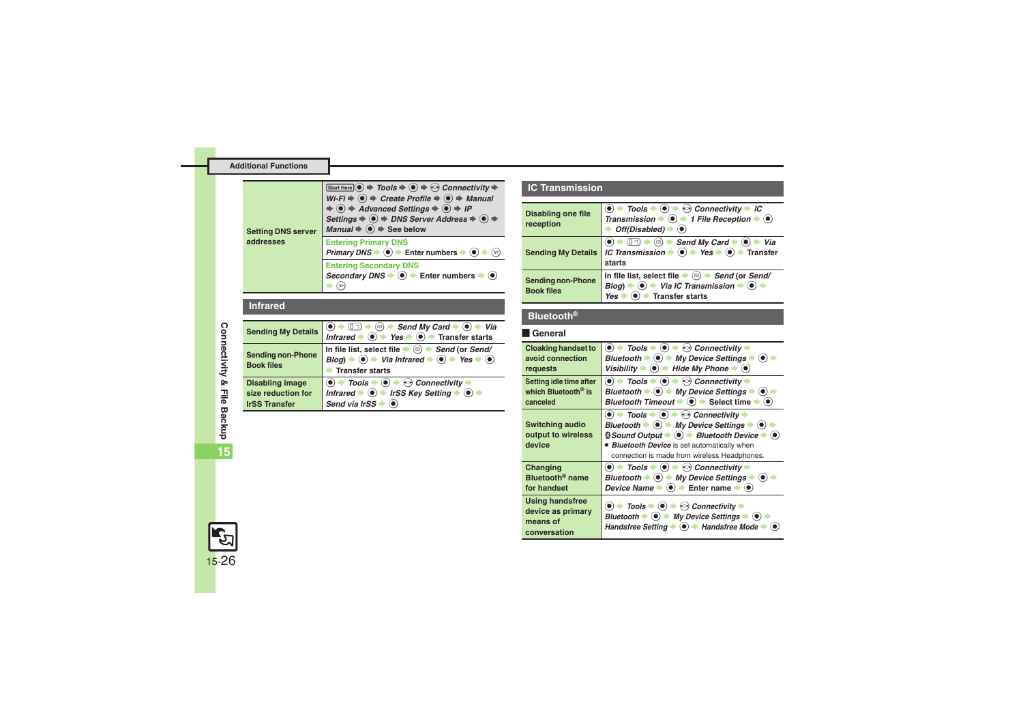<span id="page-25-0"></span>

| <b>Setting DNS server</b><br>addresses | Start Here $\textcircled{\textcircled{\bullet}} \Rightarrow$ Tools $\Rightarrow$ $\textcircled{\textcircled{\bullet}} \Rightarrow$ Connectivity $\Rightarrow$<br>$Wi-Fi \stackrel{\sim}{\Rightarrow} \odot \Rightarrow$ Create Profile $\Rightarrow \odot \Rightarrow$ Manual<br>$\Rightarrow$ (a) $\Rightarrow$ Advanced Settings $\Rightarrow$ (a) $\Rightarrow$ IP<br>Settings $\Rightarrow$ $\circledast$ $\Rightarrow$ DNS Server Address $\Rightarrow$ $\circledast$ $\Rightarrow$<br>Manual $\Rightarrow$ $\circledast$ $\Rightarrow$ See below |
|----------------------------------------|--------------------------------------------------------------------------------------------------------------------------------------------------------------------------------------------------------------------------------------------------------------------------------------------------------------------------------------------------------------------------------------------------------------------------------------------------------------------------------------------------------------------------------------------------------|
|                                        | <b>Entering Primary DNS</b><br>Primary DNS $\Rightarrow$ $\circledast$ Enter numbers $\Rightarrow$ $\circledast$                                                                                                                                                                                                                                                                                                                                                                                                                                       |
|                                        | <b>Entering Secondary DNS</b><br>Secondary DNS $\Rightarrow$ $\circledast$ $\Rightarrow$ Enter numbers $\Rightarrow$ $\circledast$                                                                                                                                                                                                                                                                                                                                                                                                                     |

#### **Infrared**

<span id="page-25-3"></span><span id="page-25-2"></span><span id="page-25-1"></span>

| <b>Sending My Details</b>                                            | $\Theta$ $\rightarrow$ Send My Card $\rightarrow$ $\Theta$ $\rightarrow$ Via<br>(0 <sup>58</sup> )<br>Infrared $\rightarrow$ ( $\bullet$ ) $\rightarrow$ Yes $\rightarrow$ ( $\bullet$ ) $\rightarrow$ Transfer starts                           |
|----------------------------------------------------------------------|--------------------------------------------------------------------------------------------------------------------------------------------------------------------------------------------------------------------------------------------------|
| <b>Sending non-Phone</b><br><b>Book files</b>                        | In file list, select file $\blacktriangleright$ ( $\text{a})$ ) $\blacktriangleright$ Send (or Send/<br>$Blog$ $\rightarrow$ $\odot$ $\rightarrow$ Via Infrared $\rightarrow$ $\odot$ $\rightarrow$ Yes $\rightarrow$ $\odot$<br>Transfer starts |
| <b>Disabling image</b><br>size reduction for<br><b>IrSS Transfer</b> | $\textcircled{\bullet}$ + Tools $\Rightarrow$ $\textcircled{\bullet}$ + $\textcircled{\bullet}$ Connectivity +<br>Infrared $\Rightarrow$ $\circledast$ irSS Key Setting $\Rightarrow$ $\circledast$ $\Rightarrow$<br>Send via IrSS               |

#### **IC Transmission**

<span id="page-25-5"></span><span id="page-25-4"></span>

| <b>Disabling one file</b><br>reception        | $\textcircled{\textcircled{\textcirc}}$ $\rightarrow$ Tools $\Rightarrow$ $\textcircled{\textcircled{\textcirc}}$ $\rightarrow$ Connectivity $\Rightarrow$ IC<br>Transmission $\Rightarrow$ $\circledast$ $\Rightarrow$ 1 File Reception $\Rightarrow$ $\circledast$<br>Off(Disabled) $\blacktriangleright$ $\circledcirc$                                                     |
|-----------------------------------------------|--------------------------------------------------------------------------------------------------------------------------------------------------------------------------------------------------------------------------------------------------------------------------------------------------------------------------------------------------------------------------------|
| <b>Sending My Details</b>                     | $\textcircled{\scriptsize{\bullet}} \Rightarrow \textcircled{\scriptsize{\textcircled{\tiny{\#}}}} \Rightarrow \textcircled{\scriptsize{\textcircled{\tiny{\#}}}}$ Send My Card $\Rightarrow \textcircled{\scriptsize{\bullet}} \Rightarrow$ Via<br>IC Transmission $\Rightarrow$ $\circledast$ $\Rightarrow$ Yes $\Rightarrow$ $\circledast$ $\Rightarrow$ Transfer<br>starts |
| <b>Sending non-Phone</b><br><b>Book files</b> | In file list, select file $\bullet$ ( $\text{D}$ ) $\bullet$ Send (or Send/<br>$\textcircled{\textbf{A}}$ $\textup{V}$ ia IC Transmission $\textup{\textbf{A}}$ $\textcircled{\textbf{A}}$<br>$B$ loa)<br>Transfer starts<br>Yes                                                                                                                                               |

#### <span id="page-25-6"></span>**Bluetooth®**

#### [ **General**

<span id="page-25-10"></span><span id="page-25-9"></span><span id="page-25-8"></span><span id="page-25-7"></span>

| <b>Cloaking handset to</b>                                              | $\textcircled{\textbullet}$ $\Rightarrow$ Tools $\Rightarrow$ $\textcircled{\textbullet}$ $\Rightarrow$ Connectivity $\Rightarrow$                                                                                                                                                                                                                                                                                                                           |
|-------------------------------------------------------------------------|--------------------------------------------------------------------------------------------------------------------------------------------------------------------------------------------------------------------------------------------------------------------------------------------------------------------------------------------------------------------------------------------------------------------------------------------------------------|
| avoid connection                                                        | Bluetooth $\blacktriangleright$ ( $\blacklozenge$ ) $\blacktriangleright$ My Device Settings $\blacktriangleright$ ( $\blacklozenge$ )                                                                                                                                                                                                                                                                                                                       |
| requests                                                                | Visibility $\bullet$ $\bullet$ + Hide My Phone $\bullet$ $\bullet$                                                                                                                                                                                                                                                                                                                                                                                           |
| Setting idle time after                                                 | $\bullet$ $\bullet$ Tools $\bullet$ $\bullet$ $\bullet$ $\bullet$ Connectivity $\bullet$                                                                                                                                                                                                                                                                                                                                                                     |
| which Bluetooth <sup>®</sup> is                                         | Bluetooth $\Rightarrow$ ( $\bullet$ ) $\Rightarrow$ My Device Settings $\Rightarrow$ ( $\bullet$ )                                                                                                                                                                                                                                                                                                                                                           |
| canceled                                                                | Bluetooth Timeout $\Rightarrow$ ( $\bullet$ ) $\Rightarrow$ Select time $\Rightarrow$ ( $\bullet$ )                                                                                                                                                                                                                                                                                                                                                          |
| <b>Switching audio</b><br>output to wireless<br>device                  | $\bullet$ $\bullet$ Tools $\bullet$ $\bullet$ $\bullet$ $\bullet$ Connectivity $\bullet$<br>Bluetooth $\Rightarrow$ $\circledast$ $\Rightarrow$ My Device Settings $\Rightarrow$ $\circledast$<br>$\textcircled{}$ Sound Output $\blacktriangleright$ ( $\textcircled{}$ ) $\blacktriangleright$ Bluetooth Device $\blacktriangleright$ ( $\textcircled{}$ )<br>• Bluetooth Device is set automatically when<br>connection is made from wireless Headphones. |
| Changing                                                                | $\bullet$ $\bullet$ Tools $\bullet$ $\bullet$ $\bullet$ Connectivity $\bullet$                                                                                                                                                                                                                                                                                                                                                                               |
| Bluetooth <sup>®</sup> name                                             | Bluetooth $\blacktriangleright$ ( $\blacklozenge$ ) $\blacktriangleright$ My Device Settings $\blacktriangleright$ ( $\blacklozenge$ )                                                                                                                                                                                                                                                                                                                       |
| for handset                                                             | Device Name $\Rightarrow$ ( $\bullet$ ) $\Rightarrow$ Enter name $\Rightarrow$ ( $\bullet$ )                                                                                                                                                                                                                                                                                                                                                                 |
| <b>Using handsfree</b><br>device as primary<br>means of<br>conversation | $\textcircled{\scriptsize{\bullet}}$ + Tools $\textup{\scriptsize{\bullet}}$ $\textcircled{\scriptsize{\bullet}}$ + $\textcircled{\scriptsize{\circ}}$ Connectivity $\textup{\scriptsize{\bullet}}$<br>Bluetooth $\Rightarrow$ ( $\bullet$ ) $\Rightarrow$ My Device Settings $\Rightarrow$ ( $\bullet$ )<br>Handsfree Setting $\bullet$ ( $\bullet$ ) $\bullet$ Handsfree Mode $\bullet$ ( $\bullet$ )                                                      |

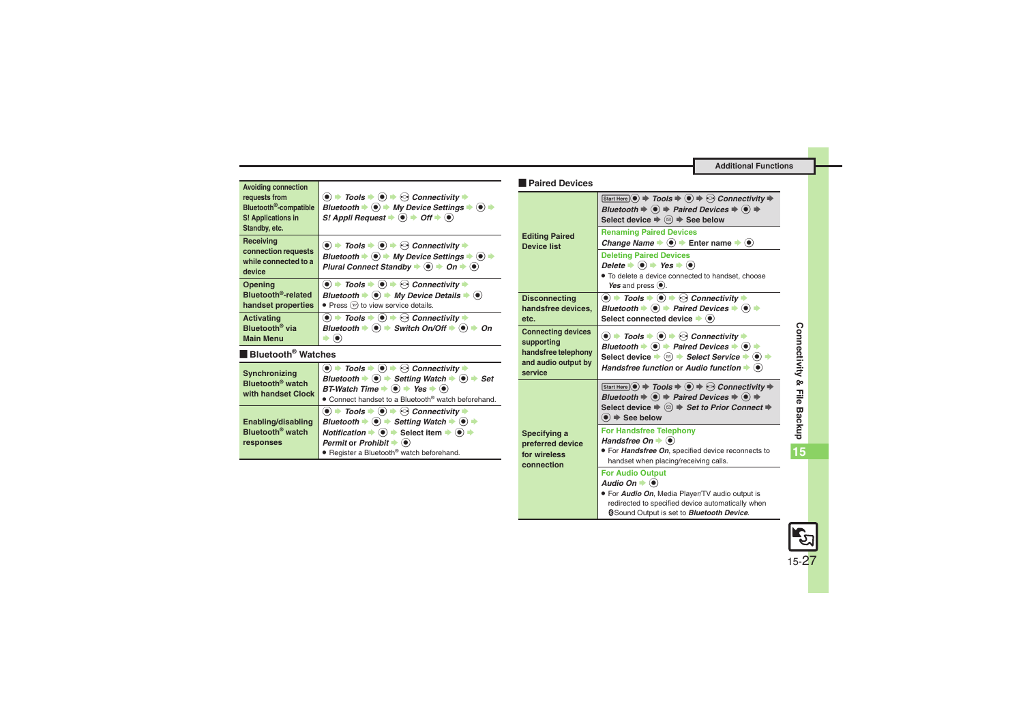**Additional Functions**

<span id="page-26-3"></span><span id="page-26-2"></span><span id="page-26-1"></span><span id="page-26-0"></span>

| <b>Avoiding connection</b>                                                                 |                                                                                                                                                                                                                                                                                                                                                                                                                                                                                    | <b>Paired Devices</b>                            |
|--------------------------------------------------------------------------------------------|------------------------------------------------------------------------------------------------------------------------------------------------------------------------------------------------------------------------------------------------------------------------------------------------------------------------------------------------------------------------------------------------------------------------------------------------------------------------------------|--------------------------------------------------|
| requests from<br>Bluetooth <sup>®</sup> -compatible<br>S! Applications in<br>Standby, etc. | $\textcircled{\bullet}$ $\Rightarrow$ Tools $\Rightarrow$ $\textcircled{\bullet}$ $\Rightarrow$ Connectivity $\Rightarrow$<br>Bluetooth $\blacktriangleright$ ( $\blacklozenge$ ) $\blacktriangleright$ My Device Settings $\blacktriangleright$ ( $\blacklozenge$ ) $\blacktriangleright$<br>S! Appli Request $\Rightarrow$ $\circledast$ $\Rightarrow$ Off $\Rightarrow$ $\circledast$                                                                                           |                                                  |
| Receiving<br>connection requests<br>while connected to a<br>device                         | $\textcircled{\bullet}$ $\textup{\textbf{+}}$ Tools $\textup{\textbf{+}}$ $\textcircled{\bullet}$ $\textup{\textbf{+}}$ $\textcircled{\bullet}$ Connectivity $\textup{\textbf{+}}$<br>Bluetooth $\blacktriangleright$ ( $\blacklozenge$ $\blacktriangleright$ My Device Settings $\blacktriangleright$ ( $\blacklozenge$ $\blacktriangleright$<br>Plural Connect Standby $\blacklozenge$ $\bigcirc$ $\blacktriangleright$ On $\blacktriangleright$ $\bigcirc$                      | <b>Editing Paired</b><br><b>Device list</b>      |
| Opening                                                                                    | $\textcircled{\bullet}$ $\textup{\textbf{+}}$ Tools $\textup{\textbf{+}}$ $\textcircled{\bullet}$ $\textup{\textbf{+}}$ $\textcircled{\bullet}$ Connectivity $\textup{\textbf{+}}$                                                                                                                                                                                                                                                                                                 |                                                  |
| Bluetooth <sup>®</sup> -related                                                            | Bluetooth $\Rightarrow$ ( $\bullet$ ) $\Rightarrow$ My Device Details $\Rightarrow$ ( $\bullet$ )                                                                                                                                                                                                                                                                                                                                                                                  | <b>Disconnecting</b>                             |
| handset properties                                                                         | • Press $(\overline{y})$ to view service details.                                                                                                                                                                                                                                                                                                                                                                                                                                  | handsfree devices,                               |
| <b>Activating</b>                                                                          | $\bullet$ $\rightarrow$ Tools $\rightarrow$ $\bullet$ $\rightarrow$ $\odot$ Connectivity $\rightarrow$                                                                                                                                                                                                                                                                                                                                                                             | etc.                                             |
| Bluetooth <sup>®</sup> via<br><b>Main Menu</b>                                             | Bluetooth $\blacktriangleright$ ( $\blacklozenge$ ) $\blacktriangleright$ Switch On/Off $\blacktriangleright$ ( $\blacklozenge$ ) $\blacktriangleright$ On<br>$\odot$                                                                                                                                                                                                                                                                                                              | <b>Connecting devices</b><br>supporting          |
| <b>Bluetooth<sup>®</sup> Watches</b>                                                       |                                                                                                                                                                                                                                                                                                                                                                                                                                                                                    | handsfree telephony                              |
| Synchronizing<br>Bluetooth <sup>®</sup> watch<br>with handset Clock                        | $\textcircled{\textbullet}$ $\Rightarrow$ Tools $\Rightarrow$ $\textcircled{\textbullet}$ $\Rightarrow$ Connectivity $\Rightarrow$<br>Bluetooth $\blacktriangleright$ ( $\blacklozenge$ ) $\blacktriangleright$ Setting Watch $\blacktriangleright$ ( $\blacklozenge$ ) $\blacktriangleright$ Set<br>BT-Watch Time $\Rightarrow$ ( $\bullet$ ) $\Rightarrow$ Yes $\Rightarrow$ ( $\bullet$ )<br>• Connect handset to a Bluetooth® watch beforehand.                                | and audio output by<br>service                   |
| Enabling/disabling<br>Bluetooth <sup>®</sup> watch<br>responses                            | $\textcircled{\bullet}$ $\Rightarrow$ Tools $\Rightarrow$ $\textcircled{\bullet}$ $\Rightarrow$ Connectivity $\Rightarrow$<br>Bluetooth $\Rightarrow$ $\circledast$ $\Rightarrow$ Setting Watch $\Rightarrow$ $\circledast$ $\Rightarrow$<br>Notification $\Rightarrow$ ( $\bullet$ ) $\Rightarrow$ Select item $\Rightarrow$ ( $\bullet$ ) $\Rightarrow$<br>Permit or Prohibit $\blacktriangleright$ ( $\blacklozenge$ )<br>• Register a Bluetooth <sup>®</sup> watch beforehand. | Specifying a<br>preferred device<br>for wireless |
|                                                                                            |                                                                                                                                                                                                                                                                                                                                                                                                                                                                                    | connection                                       |

<span id="page-26-7"></span><span id="page-26-6"></span><span id="page-26-5"></span><span id="page-26-4"></span>

| <b>Paired Devices</b>                                                                            |                                                                                                                                                                                                                                                                                                                                                                                                                                                                                            |
|--------------------------------------------------------------------------------------------------|--------------------------------------------------------------------------------------------------------------------------------------------------------------------------------------------------------------------------------------------------------------------------------------------------------------------------------------------------------------------------------------------------------------------------------------------------------------------------------------------|
|                                                                                                  | Start Here $\textcircled{\textcircled{\bullet}} \Rightarrow$ Tools $\Rightarrow$ $\textcircled{\textcircled{\bullet}} \Rightarrow$ Connectivity $\Rightarrow$<br>Bluetooth $\Rightarrow$ $\circledast$ $\Rightarrow$ Paired Devices $\Rightarrow$ $\circledast$ $\Rightarrow$<br>Select device $\Rightarrow$ $\textcircled{a}$ $\Rightarrow$ See below                                                                                                                                     |
| <b>Editing Paired</b><br><b>Device list</b>                                                      | <b>Renaming Paired Devices</b><br>Change Name $\Rightarrow$ $\circledast$ $\Rightarrow$ Enter name $\Rightarrow$ $\circledast$                                                                                                                                                                                                                                                                                                                                                             |
|                                                                                                  | <b>Deleting Paired Devices</b><br>Delete $\blacktriangleright$ ( $\blacklozenge$ ) $\blacktriangleright$ Yes $\blacktriangleright$ ( $\blacklozenge$ )<br>· To delete a device connected to handset, choose<br>Yes and press $\left( \bullet \right)$ .                                                                                                                                                                                                                                    |
| <b>Disconnecting</b><br>handsfree devices.<br>etc.                                               | $\overline{\textcircled{\bullet}}$ Tools $\blacklozenge \textcircled{\bullet}$ $\Leftrightarrow$ Connectivity $\blacklozenge$<br>Bluetooth $\blacktriangleright$ ( $\blacklozenge$ ) $\blacktriangleright$ Paired Devices $\blacktriangleright$ ( $\blacklozenge$ ) $\blacktriangleright$<br>Select connected device $\blacktriangleright$ ( $\blacklozenge$ )                                                                                                                             |
| <b>Connecting devices</b><br>supporting<br>handsfree telephony<br>and audio output by<br>service | $\textcircled{\bullet}$ $\textup{\textbf{+}}$ Tools $\textup{\textbf{+}}$ $\textcircled{\bullet}$ $\textup{\textbf{+}}$ $\textcircled{\bullet}$ Connectivity $\textup{\textbf{+}}$<br>Bluetooth $\Rightarrow$ ( $\bullet$ ) $\Rightarrow$ Paired Devices $\Rightarrow$ ( $\bullet$ ) $\Rightarrow$<br>Select device $\Rightarrow$ $\textcircled{a}$ $\Rightarrow$ Select Service $\Rightarrow$ $\textcircled{a}$ $\Rightarrow$<br>Handsfree function or Audio function $\bullet$ $\bullet$ |
|                                                                                                  | Start Here $\odot$ $\Rightarrow$ Tools $\Rightarrow$ $\odot$ $\Rightarrow$ Connectivity $\Rightarrow$<br>Bluetooth $\Rightarrow$ $\circledast$ $\Rightarrow$ Paired Devices $\Rightarrow$ $\circledast$ $\Rightarrow$<br>Select device $\Rightarrow$ $\textcircled{a} \Rightarrow$ Set to Prior Connect $\Rightarrow$<br>$\textcircled{\textcircled{\textcirc}}$ $\Rightarrow$ See below                                                                                                   |
| Specifying a<br>preferred device<br>for wireless<br>connection                                   | <b>For Handsfree Telephony</b><br>Handsfree $On + (•)$<br>. For Handsfree On, specified device reconnects to<br>handset when placing/receiving calls.                                                                                                                                                                                                                                                                                                                                      |
|                                                                                                  | <b>For Audio Output</b><br>Audio On $\bullet$ $\bullet$<br>. For Audio On, Media Player/TV audio output is<br>redirected to specified device automatically when<br><b>@Sound Output is set to Bluetooth Device.</b>                                                                                                                                                                                                                                                                        |



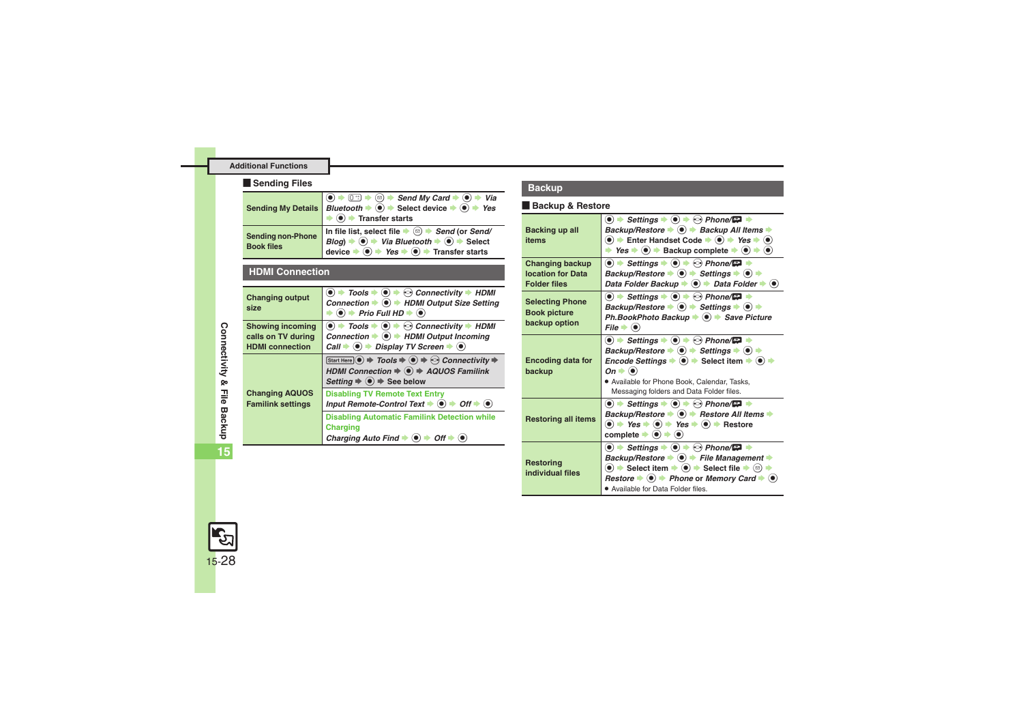#### **Additional Functions**

#### **Example Sending Files**

<span id="page-27-0"></span>

|                                               | <b>O</b> $\bullet$ <del>O</del> $\circ$ Send My Card $\bullet$ <b>O</b> $\bullet$ Via<br>Sending My Details <i>Bluetooth</i> $\bullet$ <b>O</b> $\bullet$ Select device $\bullet$ <b>O</b> $\bullet$ Yes<br>$\bullet$ $\bullet$ Transfer starts                                                                             |  |
|-----------------------------------------------|-----------------------------------------------------------------------------------------------------------------------------------------------------------------------------------------------------------------------------------------------------------------------------------------------------------------------------|--|
| <b>Sending non-Phone</b><br><b>Book files</b> | In file list, select file $\Rightarrow$ $\circledcirc$ $\Rightarrow$ Send (or Send/<br>Blog) $\Rightarrow$ $\circledcirc$ $\Rightarrow$ Via Bluetooth $\Rightarrow$ $\circledcirc$ $\Rightarrow$ Select<br>device $\Rightarrow$ $\circledcirc$ $\Rightarrow$ Yes $\Rightarrow$ $\circledcirc$ $\Rightarrow$ Transfer starts |  |

#### <span id="page-27-1"></span>**HDMI Connection**

<span id="page-27-4"></span><span id="page-27-3"></span><span id="page-27-2"></span>

| <b>Changing output</b><br>size                                          | $\odot$ $\rightarrow$ Tools $\rightarrow$ $\odot$ $\rightarrow$ $\odot$ Connectivity $\rightarrow$ HDMI<br>Connection $\Rightarrow$ ( $\bullet$ ) $\Rightarrow$ HDMI Output Size Setting<br>$\odot$ $\rightarrow$ Prio Full HD $\rightarrow$ $\odot$                                 |
|-------------------------------------------------------------------------|--------------------------------------------------------------------------------------------------------------------------------------------------------------------------------------------------------------------------------------------------------------------------------------|
| <b>Showing incoming</b><br>calls on TV during<br><b>HDMI</b> connection | $\odot$ $\rightarrow$ Tools $\rightarrow$ $\odot$ $\rightarrow$ $\odot$ Connectivity $\rightarrow$ HDMI<br>Connection $\Rightarrow$ ( $\bullet$ ) $\Rightarrow$ HDMI Output Incoming<br>Call $\Rightarrow$ ( $\bullet$ ) $\Rightarrow$ Display TV Screen $\Rightarrow$ ( $\bullet$ ) |
| <b>Changing AQUOS</b><br><b>Familink settings</b>                       | Start Here $\odot$ $\Rightarrow$ Tools $\Rightarrow$ $\odot$ $\Rightarrow$ Connectivity $\Rightarrow$<br>HDMI Connection $\Rightarrow$ $\circledast$ $\Rightarrow$ AQUOS Familink<br>Setting $\Rightarrow$ $\circledcirc$ $\Rightarrow$ See below                                    |
|                                                                         | <b>Disabling TV Remote Text Entry</b><br>Input Remote-Control Text $\blacktriangleright$ ( $\blacklozenge$ ) $\blacktriangleright$ Off $\blacktriangleright$ ( $\blacklozenge$ )                                                                                                     |
|                                                                         | <b>Disabling Automatic Familink Detection while</b><br><b>Charging</b><br>Charging Auto Find $\Rightarrow$ ( $\bullet$ ) $\Rightarrow$ Off $\Rightarrow$ ( $\bullet$ )                                                                                                               |

#### **Backup**

# **Sending My Details** [ **Backup & Restore** % S0S <sup>B</sup> <sup>S</sup> *Send My Card* <sup>S</sup> % <sup>S</sup> *Via Bluetooth* <sup>S</sup> % <sup>S</sup> **Select device** <sup>S</sup> % <sup>S</sup> *Yes*

<span id="page-27-7"></span><span id="page-27-6"></span><span id="page-27-5"></span>

| Backing up all<br>items                                                   | $\bullet$ $\bullet$ Settings $\bullet$ $\bullet$ $\bullet$ Phone/ $\bullet$ $\bullet$<br>Backup/Restore → () → Backup All Items →<br>$\bullet$ $\bullet$ Enter Handset Code $\bullet$ $\bullet$ $\bullet$ Yes $\bullet$ $\bullet$<br>→ Yes $\Rightarrow$ ( $\bullet$ ) $\Rightarrow$ Backup complete $\Rightarrow$ ( $\bullet$ ) $\Rightarrow$ ( $\bullet$ )                                                                                                                                                                                                                             |  |
|---------------------------------------------------------------------------|------------------------------------------------------------------------------------------------------------------------------------------------------------------------------------------------------------------------------------------------------------------------------------------------------------------------------------------------------------------------------------------------------------------------------------------------------------------------------------------------------------------------------------------------------------------------------------------|--|
| <b>Changing backup</b><br><b>location for Data</b><br><b>Folder files</b> | $\bullet$ $\bullet$ Settings $\bullet$ $\bullet$ $\bullet$ Phone/ $\bullet$ $\bullet$<br>Backup/Restore $\bullet$ $\bullet$ $\bullet$ Settings $\bullet$ $\bullet$ $\bullet$<br>Data Folder Backup $\Rightarrow$ (●) $\Rightarrow$ Data Folder $\Rightarrow$ (●)                                                                                                                                                                                                                                                                                                                         |  |
| <b>Selecting Phone</b><br><b>Book picture</b><br>backup option            | $\bullet$ $\rightarrow$ Settings $\rightarrow$ $\odot$ $\rightarrow$ $\odot$ Phone/ $\Box$ $\rightarrow$<br>Backup/Restore $\bullet$ $\bullet$ $\bullet$ Settings $\bullet$ $\bullet$ $\bullet$<br>Ph.BookPhoto Backup → ● → Save Picture<br>$File \rightarrow \circledcirc$                                                                                                                                                                                                                                                                                                             |  |
| <b>Encoding data for</b><br>backup                                        | $\bullet$ $\bullet$ Settings $\bullet$ $\bullet$ $\bullet$ Phone/ $\blacksquare$ $\bullet$<br>Backup/Restore $\bullet$ $\bullet$ $\bullet$ Settings $\bullet$ $\bullet$ $\bullet$<br><i>Encode Settings</i> $\bullet$ ( $\bullet$ ) $\bullet$ Select item $\bullet$ ( $\bullet$ )<br>$On \rightarrow \odot$<br>. Available for Phone Book, Calendar, Tasks,<br>Messaging folders and Data Folder files.                                                                                                                                                                                  |  |
| <b>Restoring all items</b>                                                | (●) $\Rightarrow$ Settings $\Rightarrow$ (●) $\Rightarrow$ ⊙) Phone/ $\Box$ $\Rightarrow$<br>Backup/Restore → ● → Restore All Items →<br>$\bullet$ $\Rightarrow$ Yes $\Rightarrow$ $\bullet$ Yes $\Rightarrow$ $\bullet$ $\Rightarrow$ Restore<br>complete $\blacktriangleright$ ( $\blacklozenge$ ) $\blacktriangleright$ ( $\blacklozenge$ )                                                                                                                                                                                                                                           |  |
| <b>Restoring</b><br>individual files                                      | $\bullet$ $\bullet$ Settings $\bullet$ $\bullet$ $\bullet$ Phone/ $\bullet$ $\bullet$<br>Backup/Restore $\blacktriangleright$ ( $\blacklozenge$ ) $\blacktriangleright$ File Management $\blacktriangleright$<br>$\textcircled{\bullet}$ $\textup{\blacktriangleright}$ Select item $\textup{\blacktriangleright}$ $\textcircled{\bullet}$ $\textup{\blacktriangleright}$ Select file $\textup{\blacktriangleright}$ $\textcircled{\circ}$<br>Restore $\Rightarrow$ $\circledcirc$ $\Rightarrow$ Phone or Memory Card $\Rightarrow$ $\circledcirc$<br>• Available for Data Folder files. |  |

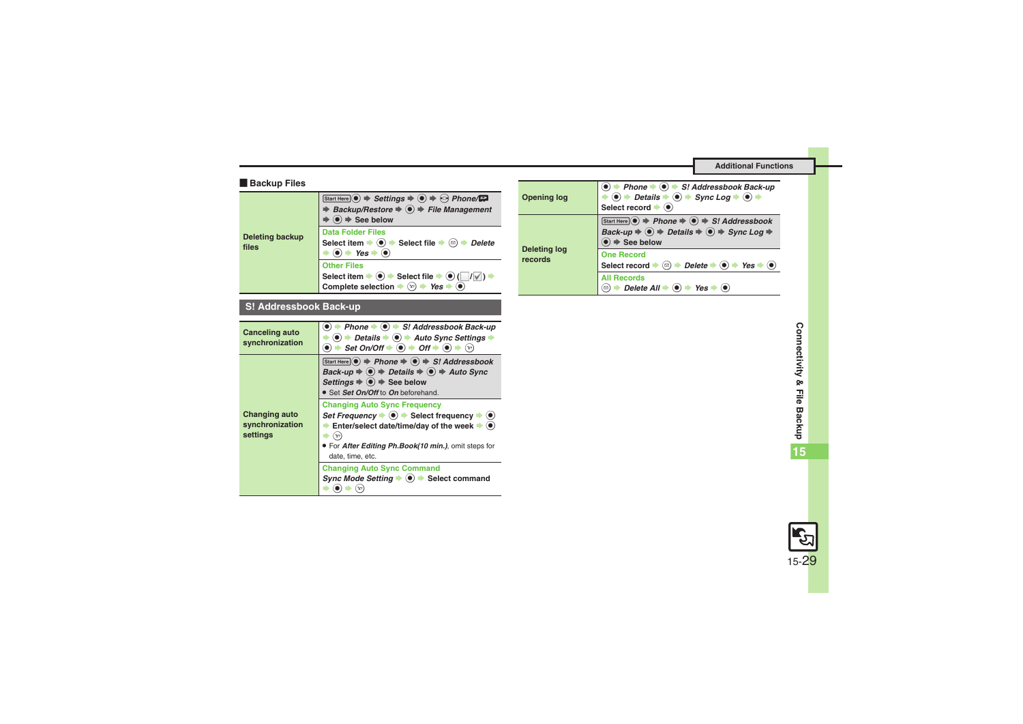#### **E** Backup Files

<span id="page-28-0"></span>

| <b>Deleting backup</b><br>files | Start Here $\odot$ $\Rightarrow$ Settings $\Rightarrow$ $\odot$ $\Rightarrow$ $\odot$ Phone/ $\Box$<br>Backup/Restore $\Rightarrow$ $\circledast$ $\Rightarrow$ File Management<br>$\textcircled{\textbf{}}$ $\blacktriangleright$ See below              |
|---------------------------------|-----------------------------------------------------------------------------------------------------------------------------------------------------------------------------------------------------------------------------------------------------------|
|                                 | <b>Data Folder Files</b><br>Select item $\Rightarrow$ $\circledbullet$ $\Rightarrow$ Select file $\Rightarrow$ $\circledcirc$<br>Delete<br>$\rightarrow$ Yes $\rightarrow$ $\circ$                                                                        |
|                                 | <b>Other Files</b><br>Select item $\rightarrow$ $\odot$ $\rightarrow$ Select file $\rightarrow$ $\odot$ ( $\Box$ / $\Box$ )<br>Complete selection $\rightarrow \textcircled{\scriptsize{x}}$ $\rightarrow$ Yes $\rightarrow \textcircled{\scriptsize{0}}$ |

### **S! Addressbook Back-up**

<span id="page-28-2"></span><span id="page-28-1"></span>

| Canceling auto<br>synchronization                   | Phone $\Rightarrow$ $\circledcirc$ $\Rightarrow$ S! Addressbook Back-up<br>$\textcircled{\textbullet}$ $\Rightarrow$ Details $\textcircled{\textbullet}$ $\Rightarrow$ Auto Sync Settings<br>$\bullet$ $\bullet$ Set On/Off $\bullet$ $\bullet$ $\bullet$ Off $\bullet$ $\bullet$ $\bullet$ $\circ$                 |
|-----------------------------------------------------|---------------------------------------------------------------------------------------------------------------------------------------------------------------------------------------------------------------------------------------------------------------------------------------------------------------------|
|                                                     | Start Here $\odot$ $\Rightarrow$ Phone $\Rightarrow$ $\odot$ $\Rightarrow$ S! Addressbook<br>Back-up $\Rightarrow$ $\circledcirc$ $\Rightarrow$ Details $\Rightarrow$ $\circledcirc$ $\Rightarrow$ Auto Sync<br>Settings $\Rightarrow$ $\circledcirc$ $\Rightarrow$ See below<br>• Set Set On/Off to On beforehand. |
| <b>Changing auto</b><br>synchronization<br>settings | <b>Changing Auto Sync Frequency</b><br>Set Frequency $\bullet$ ( $\bullet$ ) $\bullet$ Select frequency $\bullet$ ( $\bullet$ )<br>Enter/select date/time/day of the week $\blacktriangleright$ ( $\blacklozenge$ )<br>$(\mathbf{x})$<br>. For After Editing Ph.Book(10 min.), omit steps for<br>date, time, etc.   |
|                                                     | <b>Changing Auto Sync Command</b><br>Sync Mode Setting $\bullet$ ( $\bullet$ ) $\bullet$ Select command                                                                                                                                                                                                             |

<span id="page-28-4"></span><span id="page-28-3"></span>

|  | <b>Opening log</b>             | → Phone $\rightarrow$ ( $\bullet$ ) $\rightarrow$ S! Addressbook Back-up<br>$\textcircled{\textcircled{\textcirc}}$ $\Rightarrow$ Details $\Rightarrow$ $\textcircled{\textcircled{\textcirc}}$ $\Rightarrow$ Sync Loq $\Rightarrow$ $\textcircled{\textcircled{\textcirc}}$<br>Select record $\blacktriangleright$ $\lhd$ |
|--|--------------------------------|----------------------------------------------------------------------------------------------------------------------------------------------------------------------------------------------------------------------------------------------------------------------------------------------------------------------------|
|  | <b>Deleting log</b><br>records | Start Here $\odot$ $\Rightarrow$ Phone $\Rightarrow$ $\odot$ $\Rightarrow$ S! Addressbook<br>Back-up $\Rightarrow$ $\circledcirc$ $\Rightarrow$ Details $\Rightarrow$ $\circledcirc$ $\Rightarrow$ Sync Log $\Rightarrow$<br>$\bullet$ $\bullet$ See below                                                                 |
|  |                                | <b>One Record</b><br>$\textcircled{e}$ $\rightarrow$ Delete $\rightarrow$ $\textcircled{e}$ $\rightarrow$ Yes $\rightarrow$ $\textcircled{e}$<br>Select record                                                                                                                                                             |
|  |                                | <b>All Records</b><br>$\rightarrow$ Delete All $\rightarrow$ ( $\bullet$ ) $\rightarrow$ Yes<br>⊠)                                                                                                                                                                                                                         |

**15**

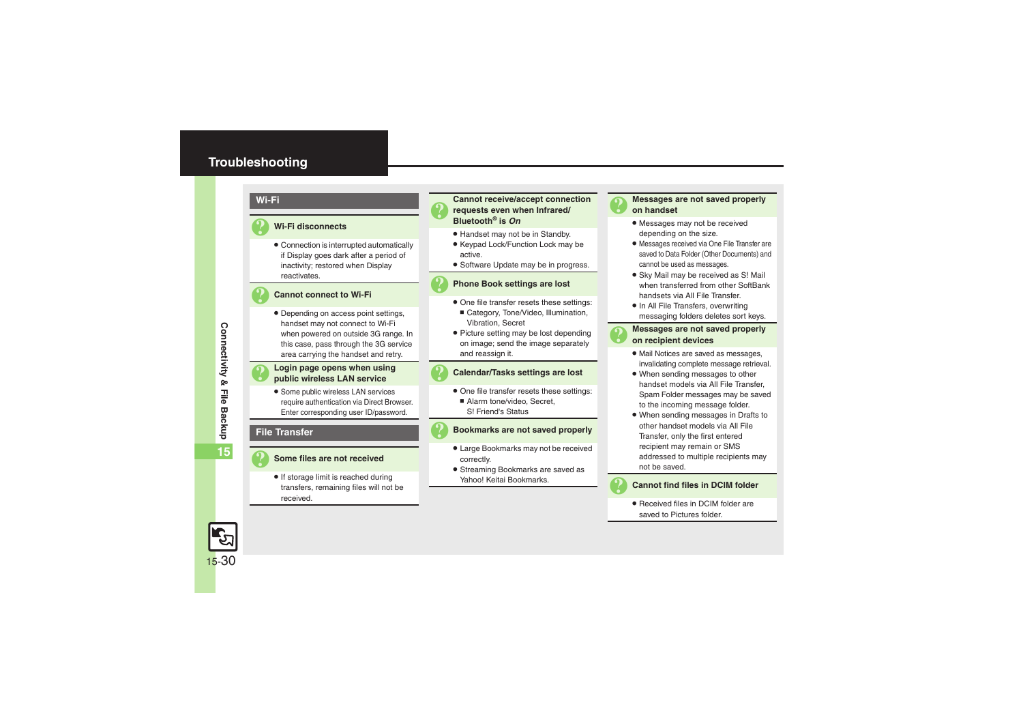## <span id="page-29-0"></span>**Troubleshooting**

#### **Wi-Fi**

#### 3 **Wi-Fi disconnects**

. Connection is interrupted automatically if Display goes dark after a period of inactivity; restored when Display reactivates.

#### 3 **Cannot connect to Wi-Fi**

. Depending on access point settings, handset may not connect to Wi-Fi when powered on outside 3G range. In this case, pass through the 3G service area carrying the handset and retry.

# 3 **Login page opens when using public wireless LAN service**

**•** Some public wireless LAN services require authentication via Direct Browser. Enter corresponding user ID/password.

#### **File Transfer**

#### 3 **Some files are not received**

• If storage limit is reached during transfers, remaining files will not be received.

# <sup>3</sup>**Cannot receive/accept connection requests even when Infrared/ Bluetooth® is** *On*

- . Handset may not be in Standby.
- Keypad Lock/Function Lock may be active.
- **•** Software Update may be in progress.

#### 3 **Phone Book settings are lost**

- . One file transfer resets these settings:
- Category, Tone/Video, Illumination, Vibration, Secret
- Picture setting may be lost depending on image; send the image separately and reassign it.

#### 3 **Calendar/Tasks settings are lost**

- . One file transfer resets these settings:
	- Alarm tone/video, Secret, S! Friend's Status

#### 3 **Bookmarks are not saved properly**

- . Large Bookmarks may not be received correctly.
- . Streaming Bookmarks are saved as Yahoo! Keitai Bookmarks.

# 3 **Messages are not saved properly on handset**

- . Messages may not be received depending on the size.
- . Messages received via One File Transfer are saved to Data Folder (Other Documents) and cannot be used as messages.
- . Sky Mail may be received as S! Mail when transferred from other SoftBank handsets via All File Transfer.
- In All File Transfers, overwriting messaging folders deletes sort keys.

# 3 **Messages are not saved properly on recipient devices**

- . Mail Notices are saved as messages, invalidating complete message retrieval.
- . When sending messages to other handset models via All File Transfer, Spam Folder messages may be saved to the incoming message folder.
- . When sending messages in Drafts to other handset models via All File Transfer, only the first entered recipient may remain or SMS addressed to multiple recipients may not be saved.

#### **Cannot find files in DCIM folder**

• Received files in DCIM folder are saved to Pictures folder.